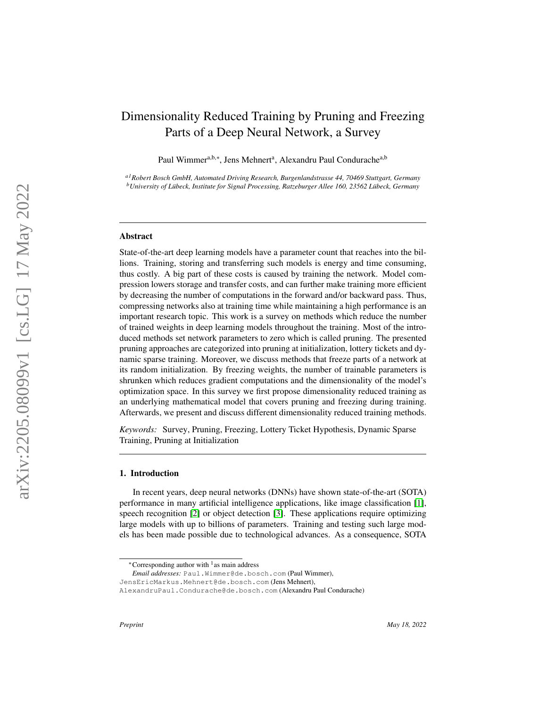# Dimensionality Reduced Training by Pruning and Freezing Parts of a Deep Neural Network, a Survey

Paul Wimmer<sup>a,b,∗</sup>, Jens Mehnert<sup>a</sup>, Alexandru Paul Condurache<sup>a,b</sup>

*a1Robert Bosch GmbH, Automated Driving Research, Burgenlandstrasse 44, 70469 Stuttgart, Germany <sup>b</sup>University of Lubeck, Institute for Signal Processing, Ratzeburger Allee 160, 23562 L ¨ ubeck, Germany ¨*

#### Abstract

State-of-the-art deep learning models have a parameter count that reaches into the billions. Training, storing and transferring such models is energy and time consuming, thus costly. A big part of these costs is caused by training the network. Model compression lowers storage and transfer costs, and can further make training more efficient by decreasing the number of computations in the forward and/or backward pass. Thus, compressing networks also at training time while maintaining a high performance is an important research topic. This work is a survey on methods which reduce the number of trained weights in deep learning models throughout the training. Most of the introduced methods set network parameters to zero which is called pruning. The presented pruning approaches are categorized into pruning at initialization, lottery tickets and dynamic sparse training. Moreover, we discuss methods that freeze parts of a network at its random initialization. By freezing weights, the number of trainable parameters is shrunken which reduces gradient computations and the dimensionality of the model's optimization space. In this survey we first propose dimensionality reduced training as an underlying mathematical model that covers pruning and freezing during training. Afterwards, we present and discuss different dimensionality reduced training methods.

*Keywords:* Survey, Pruning, Freezing, Lottery Ticket Hypothesis, Dynamic Sparse Training, Pruning at Initialization

#### 1. Introduction

In recent years, deep neural networks (DNNs) have shown state-of-the-art (SOTA) performance in many artificial intelligence applications, like image classification [\[1\]](#page-29-0), speech recognition [\[2\]](#page-29-1) or object detection [\[3\]](#page-29-2). These applications require optimizing large models with up to billions of parameters. Training and testing such large models has been made possible due to technological advances. As a consequence, SOTA

*Email addresses:* Paul.Wimmer@de.bosch.com (Paul Wimmer),

<sup>∗</sup>Corresponding author with <sup>1</sup> as main address

JensEricMarkus.Mehnert@de.bosch.com (Jens Mehnert),

AlexandruPaul.Condurache@de.bosch.com (Alexandru Paul Condurache)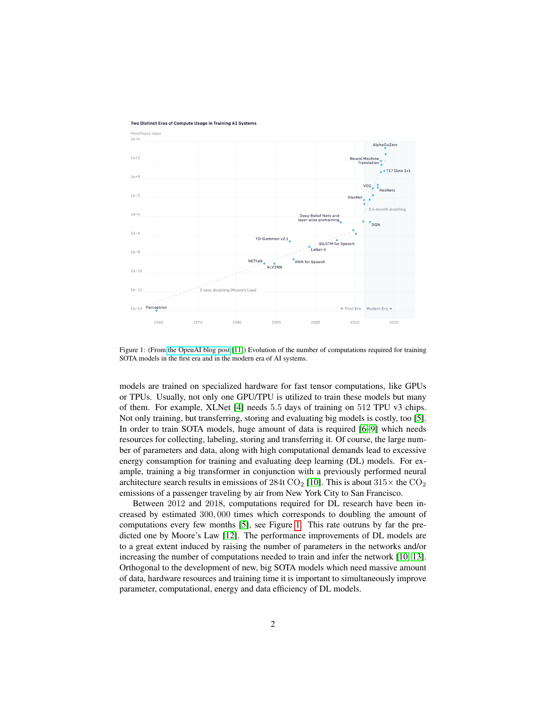

Two Distinct Eras of Compute Usage in Training AI Systems

<span id="page-1-0"></span>Figure 1: (From [the OpenAI blog post](https://openai.com/blog/ai-and-compute/) [\[11\]](#page-29-3)) Evolution of the number of computations required for training SOTA models in the first era and in the modern era of AI systems.

models are trained on specialized hardware for fast tensor computations, like GPUs or TPUs. Usually, not only one GPU/TPU is utilized to train these models but many of them. For example, XLNet [\[4\]](#page-29-4) needs 5.5 days of training on 512 TPU v3 chips. Not only training, but transferring, storing and evaluating big models is costly, too [\[5\]](#page-29-5). In order to train SOTA models, huge amount of data is required [\[6](#page-29-6)[–9\]](#page-29-7) which needs resources for collecting, labeling, storing and transferring it. Of course, the large number of parameters and data, along with high computational demands lead to excessive energy consumption for training and evaluating deep learning (DL) models. For example, training a big transformer in conjunction with a previously performed neural architecture search results in emissions of 284t CO<sub>2</sub> [\[10\]](#page-29-8). This is about  $315\times$  the CO<sub>2</sub> emissions of a passenger traveling by air from New York City to San Francisco.

Between 2012 and 2018, computations required for DL research have been increased by estimated 300, 000 times which corresponds to doubling the amount of computations every few months [\[5\]](#page-29-5), see Figure [1.](#page-1-0) This rate outruns by far the predicted one by Moore's Law [\[12\]](#page-29-9). The performance improvements of DL models are to a great extent induced by raising the number of parameters in the networks and/or increasing the number of computations needed to train and infer the network [\[10,](#page-29-8) [13\]](#page-30-0). Orthogonal to the development of new, big SOTA models which need massive amount of data, hardware resources and training time it is important to simultaneously improve parameter, computational, energy and data efficiency of DL models.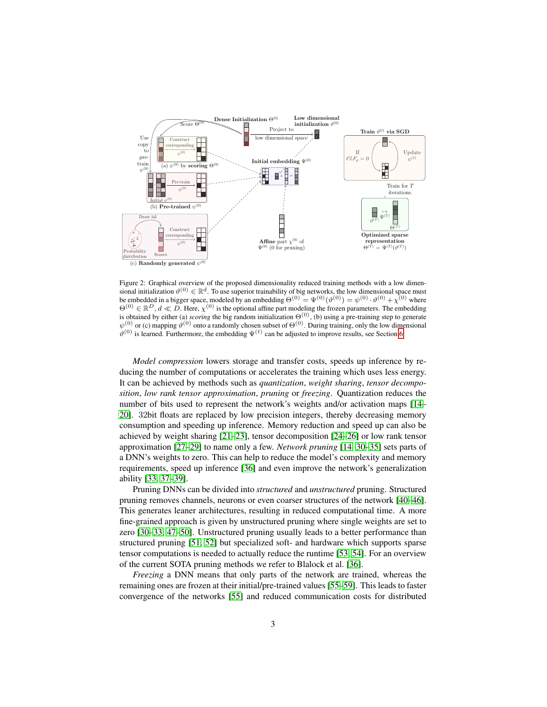

<span id="page-2-0"></span>Figure 2: Graphical overview of the proposed dimensionality reduced training methods with a low dimensional initialization  $\vartheta^{(0)} \in \mathbb{R}^d$ . To use superior trainability of big networks, the low dimensional space must be embedded in a bigger space, modeled by an embedding  $\Theta^{(0)} = \Psi^{(0)}(\vartheta^{(0)}) = \psi^{(0)} \cdot \vartheta^{(0)} + \chi^{(0)}$  where  $\Theta^{(0)} \in \mathbb{R}^D$ ,  $d \ll D$ . Here,  $\chi^{(0)}$  is the optional affine part modeling the frozen parameters. The embedding is obtained by either (a) *scoring* the big random initialization  $\Theta^{(0)}$ , (b) using a pre-training step to generate  $\psi^{(0)}$  or (c) mapping  $\vartheta^{(0)}$  onto a randomly chosen subset of  $\Theta^{(0)}$ . During training, only the low dimensional  $\vartheta^{(0)}$  is learned. Furthermore, the embedding  $\Psi^{(t)}$  can be adjusted to improve results, see Section [6.](#page-19-0)

*Model compression* lowers storage and transfer costs, speeds up inference by reducing the number of computations or accelerates the training which uses less energy. It can be achieved by methods such as *quantization*, *weight sharing*, *tensor decomposition*, *low rank tensor approximation*, *pruning* or *freezing*. Quantization reduces the number of bits used to represent the network's weights and/or activation maps [\[14–](#page-30-1) [20\]](#page-30-2). 32bit floats are replaced by low precision integers, thereby decreasing memory consumption and speeding up inference. Memory reduction and speed up can also be achieved by weight sharing [\[21–](#page-30-3)[23\]](#page-30-4), tensor decomposition [\[24–](#page-30-5)[26\]](#page-31-0) or low rank tensor approximation [\[27–](#page-31-1)[29\]](#page-31-2) to name only a few. *Network pruning* [\[14,](#page-30-1) [30–](#page-31-3)[35\]](#page-31-4) sets parts of a DNN's weights to zero. This can help to reduce the model's complexity and memory requirements, speed up inference [\[36\]](#page-31-5) and even improve the network's generalization ability [\[33,](#page-31-6) [37–](#page-31-7)[39\]](#page-31-8).

Pruning DNNs can be divided into *structured* and *unstructured* pruning. Structured pruning removes channels, neurons or even coarser structures of the network [\[40–](#page-32-0)[46\]](#page-32-1). This generates leaner architectures, resulting in reduced computational time. A more fine-grained approach is given by unstructured pruning where single weights are set to zero [\[30–](#page-31-3)[33,](#page-31-6) [47](#page-32-2)[–50\]](#page-32-3). Unstructured pruning usually leads to a better performance than structured pruning [\[51,](#page-32-4) [52\]](#page-32-5) but specialized soft- and hardware which supports sparse tensor computations is needed to actually reduce the runtime [\[53,](#page-33-0) [54\]](#page-33-1). For an overview of the current SOTA pruning methods we refer to Blalock et al. [\[36\]](#page-31-5).

*Freezing* a DNN means that only parts of the network are trained, whereas the remaining ones are frozen at their initial/pre-trained values [\[55–](#page-33-2)[59\]](#page-33-3). This leads to faster convergence of the networks [\[55\]](#page-33-2) and reduced communication costs for distributed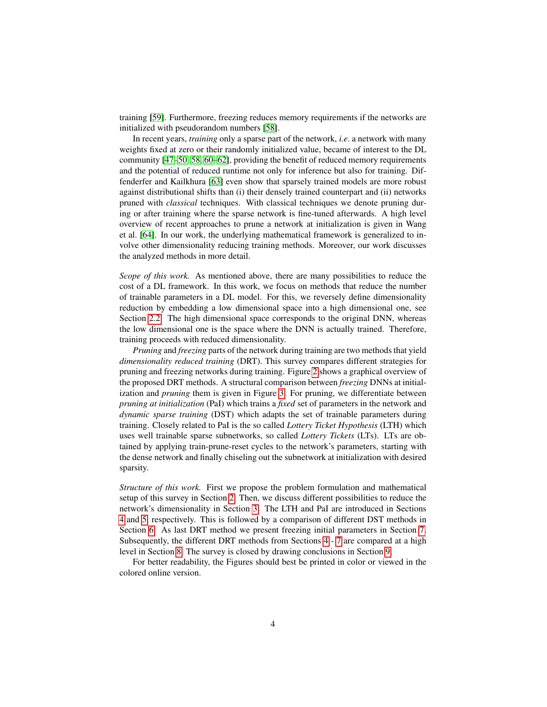training [\[59\]](#page-33-3). Furthermore, freezing reduces memory requirements if the networks are initialized with pseudorandom numbers [\[58\]](#page-33-4).

In recent years, *training* only a sparse part of the network, *i.e*. a network with many weights fixed at zero or their randomly initialized value, became of interest to the DL community [\[47–](#page-32-2)[50,](#page-32-3) [58,](#page-33-4) [60–](#page-33-5)[62\]](#page-33-6), providing the benefit of reduced memory requirements and the potential of reduced runtime not only for inference but also for training. Diffenderfer and Kailkhura [\[63\]](#page-33-7) even show that sparsely trained models are more robust against distributional shifts than (i) their densely trained counterpart and (ii) networks pruned with *classical* techniques. With classical techniques we denote pruning during or after training where the sparse network is fine-tuned afterwards. A high level overview of recent approaches to prune a network at initialization is given in Wang et al. [\[64\]](#page-33-8). In our work, the underlying mathematical framework is generalized to involve other dimensionality reducing training methods. Moreover, our work discusses the analyzed methods in more detail.

*Scope of this work.* As mentioned above, there are many possibilities to reduce the cost of a DL framework. In this work, we focus on methods that reduce the number of trainable parameters in a DL model. For this, we reversely define dimensionality reduction by embedding a low dimensional space into a high dimensional one, see Section [2.2.](#page-5-0) The high dimensional space corresponds to the original DNN, whereas the low dimensional one is the space where the DNN is actually trained. Therefore, training proceeds with reduced dimensionality.

*Pruning* and *freezing* parts of the network during training are two methods that yield *dimensionality reduced training* (DRT). This survey compares different strategies for pruning and freezing networks during training. Figure [2](#page-2-0) shows a graphical overview of the proposed DRT methods. A structural comparison between *freezing* DNNs at initialization and *pruning* them is given in Figure [3.](#page-4-0) For pruning, we differentiate between *pruning at initialization* (PaI) which trains a *fixed* set of parameters in the network and *dynamic sparse training* (DST) which adapts the set of trainable parameters during training. Closely related to PaI is the so called *Lottery Ticket Hypothesis* (LTH) which uses well trainable sparse subnetworks, so called *Lottery Tickets* (LTs). LTs are obtained by applying train-prune-reset cycles to the network's parameters, starting with the dense network and finally chiseling out the subnetwork at initialization with desired sparsity.

*Structure of this work.* First we propose the problem formulation and mathematical setup of this survey in Section [2.](#page-4-1) Then, we discuss different possibilities to reduce the network's dimensionality in Section [3.](#page-7-0) The LTH and PaI are introduced in Sections [4](#page-12-0) and [5,](#page-14-0) respectively. This is followed by a comparison of different DST methods in Section [6.](#page-19-0) As last DRT method we present freezing initial parameters in Section [7.](#page-21-0) Subsequently, the different DRT methods from Sections [4](#page-12-0) - [7](#page-21-0) are compared at a high level in Section [8.](#page-23-0) The survey is closed by drawing conclusions in Section [9.](#page-28-0)

For better readability, the Figures should best be printed in color or viewed in the colored online version.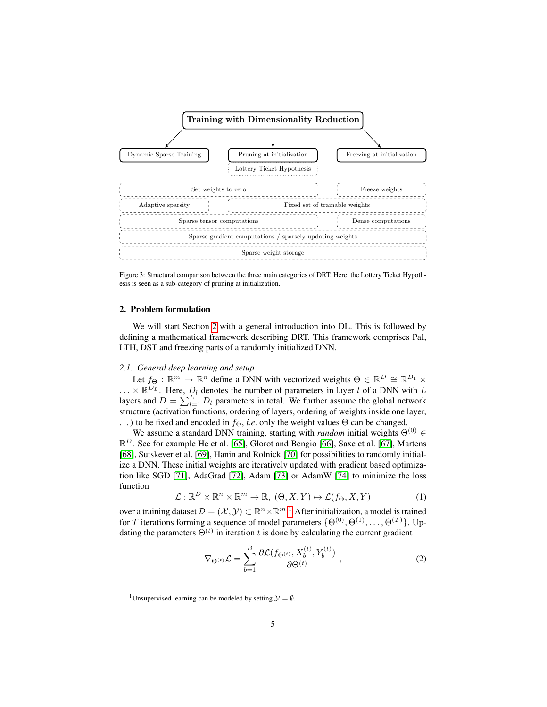

<span id="page-4-0"></span>Figure 3: Structural comparison between the three main categories of DRT. Here, the Lottery Ticket Hypothesis is seen as a sub-category of pruning at initialization.

#### <span id="page-4-1"></span>2. Problem formulation

We will start Section [2](#page-4-1) with a general introduction into DL. This is followed by defining a mathematical framework describing DRT. This framework comprises PaI, LTH, DST and freezing parts of a randomly initialized DNN.

#### *2.1. General deep learning and setup*

Let  $f_{\Theta} : \mathbb{R}^m \to \mathbb{R}^n$  define a DNN with vectorized weights  $\Theta \in \mathbb{R}^D \cong \mathbb{R}^{D_1} \times$  $\ldots \times \mathbb{R}^{D_L}$ . Here,  $D_l$  denotes the number of parameters in layer l of a DNN with L layers and  $D = \sum_{l=1}^{L} D_l$  parameters in total. We further assume the global network structure (activation functions, ordering of layers, ordering of weights inside one layer, ...) to be fixed and encoded in  $f_{\Theta}$ , *i.e.* only the weight values  $\Theta$  can be changed.

We assume a standard DNN training, starting with *random* initial weights  $\Theta^{(0)}$  ∈  $\mathbb{R}^D$ . See for example He et al. [\[65\]](#page-33-9), Glorot and Bengio [\[66\]](#page-34-0), Saxe et al. [\[67\]](#page-34-1), Martens [\[68\]](#page-34-2), Sutskever et al. [\[69\]](#page-34-3), Hanin and Rolnick [\[70\]](#page-34-4) for possibilities to randomly initialize a DNN. These initial weights are iteratively updated with gradient based optimization like SGD [\[71\]](#page-34-5), AdaGrad [\[72\]](#page-34-6), Adam [\[73\]](#page-34-7) or AdamW [\[74\]](#page-34-8) to minimize the loss function

$$
\mathcal{L}: \mathbb{R}^D \times \mathbb{R}^n \times \mathbb{R}^m \to \mathbb{R}, \ (\Theta, X, Y) \mapsto \mathcal{L}(f_{\Theta}, X, Y) \tag{1}
$$

over a training dataset  $\mathcal{D} = (\mathcal{X}, \mathcal{Y}) \subset \mathbb{R}^n \times \mathbb{R}^{m}$ .<sup>[1](#page-4-2)</sup> After initialization, a model is trained for T iterations forming a sequence of model parameters  $\{\Theta^{(0)}, \Theta^{(1)}, \dots, \Theta^{(T)}\}$ . Updating the parameters  $\Theta^{(t)}$  in iteration t is done by calculating the current gradient

$$
\nabla_{\Theta^{(t)}} \mathcal{L} = \sum_{b=1}^{B} \frac{\partial \mathcal{L}(f_{\Theta^{(t)}}, X_b^{(t)}, Y_b^{(t)})}{\partial \Theta^{(t)}}, \qquad (2)
$$

<span id="page-4-2"></span><sup>&</sup>lt;sup>1</sup>Unsupervised learning can be modeled by setting  $\mathcal{Y} = \emptyset$ .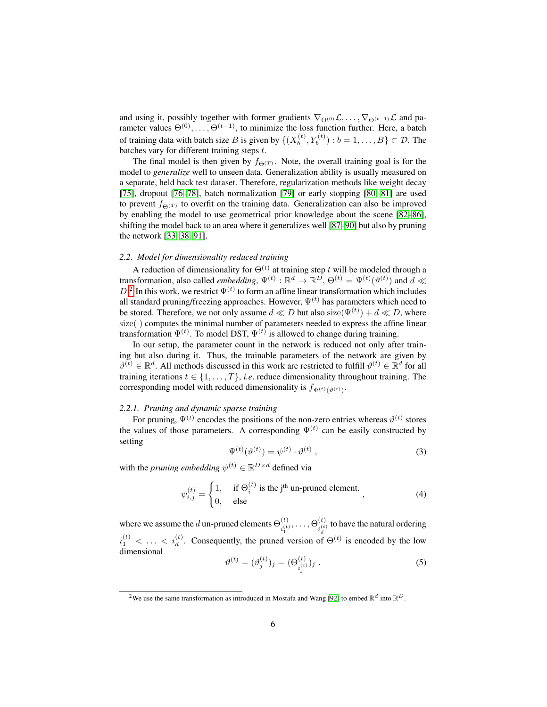and using it, possibly together with former gradients  $\nabla_{\Theta^{(0)}}\mathcal{L}, \dots, \nabla_{\Theta^{(t-1)}}\mathcal{L}$  and parameter values  $\Theta^{(0)}, \ldots, \Theta^{(t-1)}$ , to minimize the loss function further. Here, a batch of training data with batch size B is given by  $\{(X_b^{(t)}, Y_b^{(t)}) : b = 1, \ldots, B\} \subset \mathcal{D}$ . The batches vary for different training steps t.

The final model is then given by  $f_{\Theta}(T)$ . Note, the overall training goal is for the model to *generalize* well to unseen data. Generalization ability is usually measured on a separate, held back test dataset. Therefore, regularization methods like weight decay [\[75\]](#page-34-9), dropout [\[76–](#page-34-10)[78\]](#page-34-11), batch normalization [\[79\]](#page-34-12) or early stopping [\[80,](#page-35-0) [81\]](#page-35-1) are used to prevent  $f_{\Theta(T)}$  to overfit on the training data. Generalization can also be improved by enabling the model to use geometrical prior knowledge about the scene [\[82–](#page-35-2)[86\]](#page-35-3), shifting the model back to an area where it generalizes well [\[87](#page-35-4)[–90\]](#page-35-5) but also by pruning the network [\[33,](#page-31-6) [38,](#page-31-9) [91\]](#page-35-6).

#### <span id="page-5-0"></span>*2.2. Model for dimensionality reduced training*

A reduction of dimensionality for  $\Theta^{(t)}$  at training step t will be modeled through a transformation, also called *embedding*,  $\Psi^{(t)} : \mathbb{R}^d \to \mathbb{R}^D$ ,  $\Theta^{(t)} = \Psi^{(t)}(\vartheta^{(t)})$  and  $\overline{d} \ll \overline{d}$  $D<sup>2</sup>$  $D<sup>2</sup>$  $D<sup>2</sup>$  In this work, we restrict  $\Psi^{(t)}$  to form an affine linear transformation which includes all standard pruning/freezing approaches. However,  $\Psi^{(t)}$  has parameters which need to be stored. Therefore, we not only assume  $d \ll D$  but also  $size(\Psi^{(t)}) + d \ll D$ , where size $(\cdot)$  computes the minimal number of parameters needed to express the affine linear transformation  $\Psi^{(t)}$ . To model DST,  $\Psi^{(t)}$  is allowed to change during training.

In our setup, the parameter count in the network is reduced not only after training but also during it. Thus, the trainable parameters of the network are given by  $\theta^{(t)} \in \mathbb{R}^d$ . All methods discussed in this work are restricted to fulfill  $\theta^{(t)} \in \mathbb{R}^d$  for all training iterations  $t \in \{1, \ldots, T\}$ , *i.e.* reduce dimensionality throughout training. The corresponding model with reduced dimensionality is  $f_{\Psi^{(t)}(\vartheta^{(t)})}$ .

## *2.2.1. Pruning and dynamic sparse training*

<span id="page-5-3"></span>For pruning,  $\Psi^{(t)}$  encodes the positions of the non-zero entries whereas  $\vartheta^{(t)}$  stores the values of those parameters. A corresponding  $\Psi^{(t)}$  can be easily constructed by setting

<span id="page-5-2"></span>
$$
\Psi^{(t)}(\vartheta^{(t)}) = \psi^{(t)} \cdot \vartheta^{(t)} \,, \tag{3}
$$

with the *pruning embedding*  $\psi^{(t)} \in \mathbb{R}^{D \times d}$  defined via

$$
\psi_{i,j}^{(t)} = \begin{cases} 1, & \text{if } \Theta_i^{(t)} \text{ is the } j^{\text{th}} \text{ un-pruned element.} \\ 0, & \text{else} \end{cases} \tag{4}
$$

where we assume the d un-pruned elements  $\Theta_{\cdot(t)}^{(t)}$  $\theta^{(t)}_{i_1^{(t)}}, \ldots, \Theta^{(t)}_{i_d^{(t)}}$  $i_d^{(t)}$  to have the natural ordering  $i_1^{(t)} < \ldots < i_d^{(t)}$ . Consequently, the pruned version of  $\Theta^{(t)}$  is encoded by the low dimensional

$$
\vartheta^{(t)} = (\vartheta_j^{(t)})_j = (\Theta_{i_j^{(t)}}^{(t)})_j . \tag{5}
$$

<span id="page-5-1"></span><sup>&</sup>lt;sup>2</sup>We use the same transformation as introduced in Mostafa and Wang [\[92\]](#page-35-7) to embed  $\mathbb{R}^d$  into  $\mathbb{R}^D$ .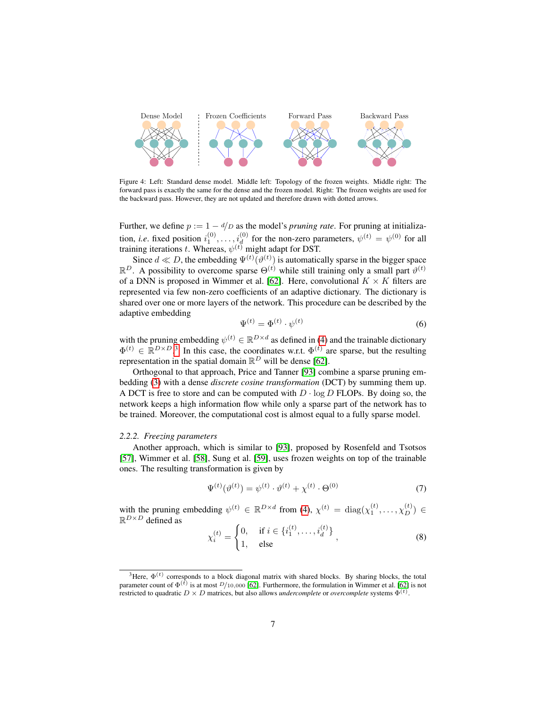

<span id="page-6-1"></span>Figure 4: Left: Standard dense model. Middle left: Topology of the frozen weights. Middle right: The forward pass is exactly the same for the dense and the frozen model. Right: The frozen weights are used for the backward pass. However, they are not updated and therefore drawn with dotted arrows.

Further, we define  $p := 1 - d/D$  as the model's *pruning rate*. For pruning at initialization, *i.e.* fixed position  $i_1^{(0)}, \ldots, i_d^{(0)}$  for the non-zero parameters,  $\psi^{(t)} = \psi^{(0)}$  for all training iterations t. Whereas,  $\psi^{(t)}$  might adapt for DST.

Since  $d \ll D$ , the embedding  $\Psi^{(t)}(\vartheta^{(t)})$  is automatically sparse in the bigger space  $\mathbb{R}^D$ . A possibility to overcome sparse  $\Theta^{(t)}$  while still training only a small part  $\vartheta^{(t)}$ of a DNN is proposed in Wimmer et al. [\[62\]](#page-33-6). Here, convolutional  $K \times K$  filters are represented via few non-zero coefficients of an adaptive dictionary. The dictionary is shared over one or more layers of the network. This procedure can be described by the adaptive embedding

<span id="page-6-4"></span>
$$
\Psi^{(t)} = \Phi^{(t)} \cdot \psi^{(t)} \tag{6}
$$

with the pruning embedding  $\psi^{(t)} \in \mathbb{R}^{D \times d}$  as defined in [\(4\)](#page-5-2) and the trainable dictionary  $\Phi^{(t)} \in \mathbb{R}^{D \times D}$ .<sup>[3](#page-6-0)</sup> In this case, the coordinates w.r.t.  $\Phi^{(t)}$  are sparse, but the resulting representation in the spatial domain  $\mathbb{R}^D$  will be dense [\[62\]](#page-33-6).

Orthogonal to that approach, Price and Tanner [\[93\]](#page-35-8) combine a sparse pruning embedding [\(3\)](#page-5-3) with a dense *discrete cosine transformation* (DCT) by summing them up. A DCT is free to store and can be computed with  $D \cdot \log D$  FLOPs. By doing so, the network keeps a high information flow while only a sparse part of the network has to be trained. Moreover, the computational cost is almost equal to a fully sparse model.

#### *2.2.2. Freezing parameters*

Another approach, which is similar to [\[93\]](#page-35-8), proposed by Rosenfeld and Tsotsos [\[57\]](#page-33-10), Wimmer et al. [\[58\]](#page-33-4), Sung et al. [\[59\]](#page-33-3), uses frozen weights on top of the trainable ones. The resulting transformation is given by

<span id="page-6-2"></span>
$$
\Psi^{(t)}(\vartheta^{(t)}) = \psi^{(t)} \cdot \vartheta^{(t)} + \chi^{(t)} \cdot \Theta^{(0)} \tag{7}
$$

with the pruning embedding  $\psi^{(t)} \in \mathbb{R}^{D \times d}$  from [\(4\)](#page-5-2),  $\chi^{(t)} = \text{diag}(\chi_1^{(t)}, \dots, \chi_D^{(t)}) \in \mathbb{R}^{D \times d}$  $\mathbb{R}^{D\times D}$  defined as

<span id="page-6-3"></span>
$$
\chi_i^{(t)} = \begin{cases} 0, & \text{if } i \in \{i_1^{(t)}, \dots, i_d^{(t)}\} \\ 1, & \text{else} \end{cases}
$$
 (8)

<span id="page-6-0"></span><sup>&</sup>lt;sup>3</sup>Here,  $\Phi^{(t)}$  corresponds to a block diagonal matrix with shared blocks. By sharing blocks, the total parameter count of  $\Phi^{(t)}$  is at most  $D/10,000$  [\[62\]](#page-33-6). Furthermore, the formulation in Wimmer et al. [62] is not restricted to quadratic  $D \times D$  matrices, but also allows *undercomplete* or *overcomplete* systems  $\Phi^{(t)}$ .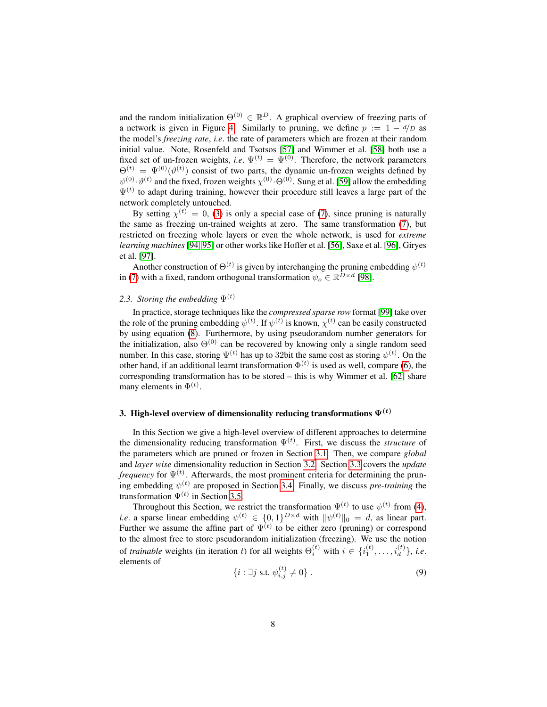and the random initialization  $\Theta^{(0)} \in \mathbb{R}^D$ . A graphical overview of freezing parts of a network is given in Figure [4.](#page-6-1) Similarly to pruning, we define  $p := 1 - \frac{d}{D}$  as the model's *freezing rate*, *i.e*. the rate of parameters which are frozen at their random initial value. Note, Rosenfeld and Tsotsos [\[57\]](#page-33-10) and Wimmer et al. [\[58\]](#page-33-4) both use a fixed set of un-frozen weights, *i.e.*  $\Psi^{(t)} = \Psi^{(0)}$ . Therefore, the network parameters  $\Theta^{(t)} = \Psi^{(0)}(\vartheta^{(t)})$  consist of two parts, the dynamic un-frozen weights defined by  $\psi^{(0)} \cdot \vartheta^{(t)}$  and the fixed, frozen weights  $\chi^{(0)} \cdot \Theta^{(0)}$ . Sung et al. [\[59\]](#page-33-3) allow the embedding  $\Psi^{(t)}$  to adapt during training, however their procedure still leaves a large part of the network completely untouched.

By setting  $\chi^{(t)} = 0$ , [\(3\)](#page-5-3) is only a special case of [\(7\)](#page-6-2), since pruning is naturally the same as freezing un-trained weights at zero. The same transformation [\(7\)](#page-6-2), but restricted on freezing whole layers or even the whole network, is used for *extreme learning machines* [\[94,](#page-36-0) [95\]](#page-36-1) or other works like Hoffer et al. [\[56\]](#page-33-11), Saxe et al. [\[96\]](#page-36-2), Giryes et al. [\[97\]](#page-36-3).

Another construction of  $\Theta^{(t)}$  is given by interchanging the pruning embedding  $\psi^{(t)}$ in [\(7\)](#page-6-2) with a fixed, random orthogonal transformation  $\psi_o \in \mathbb{R}^{D \times d}$  [\[98\]](#page-36-4).

# <span id="page-7-1"></span>2.3. Storing the embedding  $\Psi^{(t)}$

In practice, storage techniques like the *compressed sparse row* format [\[99\]](#page-36-5) take over the role of the pruning embedding  $\psi^{(t)}$ . If  $\psi^{(t)}$  is known,  $\chi^{(t)}$  can be easily constructed by using equation [\(8\)](#page-6-3). Furthermore, by using pseudorandom number generators for the initialization, also  $\Theta^{(0)}$  can be recovered by knowing only a single random seed number. In this case, storing  $\Psi^{(t)}$  has up to 32bit the same cost as storing  $\psi^{(t)}$ . On the other hand, if an additional learnt transformation  $\Phi^{(t)}$  is used as well, compare [\(6\)](#page-6-4), the corresponding transformation has to be stored – this is why Wimmer et al. [\[62\]](#page-33-6) share many elements in  $\Phi^{(t)}$ .

# <span id="page-7-0"></span>3. High-level overview of dimensionality reducing transformations  $\Psi^{(t)}$

In this Section we give a high-level overview of different approaches to determine the dimensionality reducing transformation  $\Psi^{(t)}$ . First, we discuss the *structure* of the parameters which are pruned or frozen in Section [3.1.](#page-8-0) Then, we compare *global* and *layer wise* dimensionality reduction in Section [3.2.](#page-8-1) Section [3.3](#page-9-0) covers the *update frequency* for  $\Psi^{(t)}$ . Afterwards, the most prominent criteria for determining the pruning embedding  $\psi^{(t)}$  are proposed in Section [3.4.](#page-9-1) Finally, we discuss *pre-training* the transformation  $\Psi^{(t)}$  in Section [3.5.](#page-12-1)

Throughout this Section, we restrict the transformation  $\Psi^{(t)}$  to use  $\psi^{(t)}$  from [\(4\)](#page-5-2), *i.e.* a sparse linear embedding  $\psi^{(t)} \in \{0, 1\}^{D \times d}$  with  $\|\psi^{(t)}\|_0 = d$ , as linear part. Further we assume the affine part of  $\Psi^{(t)}$  to be either zero (pruning) or correspond to the almost free to store pseudorandom initialization (freezing). We use the notion of *trainable* weights (in iteration t) for all weights  $\Theta_i^{(t)}$  with  $i \in \{i_1^{(t)}, \ldots, i_d^{(t)}\}$ , *i.e.* elements of

$$
\{i : \exists j \text{ s.t. } \psi_{i,j}^{(t)} \neq 0\} \ . \tag{9}
$$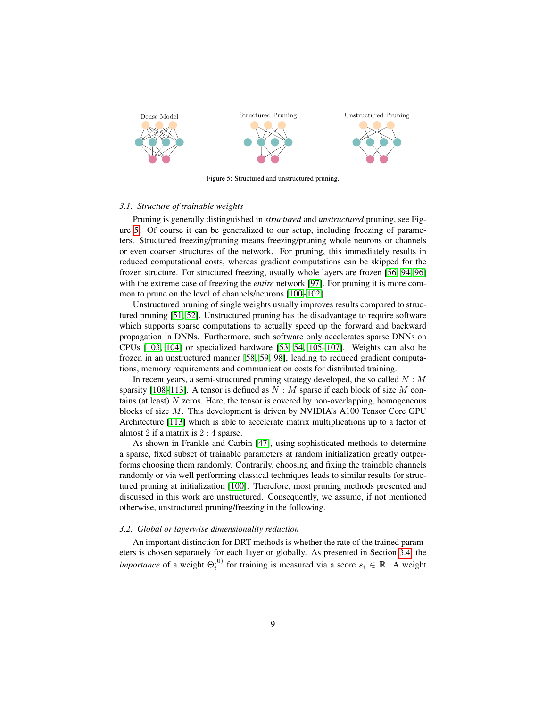

<span id="page-8-2"></span>Figure 5: Structured and unstructured pruning.

#### <span id="page-8-0"></span>*3.1. Structure of trainable weights*

Pruning is generally distinguished in *structured* and *unstructured* pruning, see Figure [5.](#page-8-2) Of course it can be generalized to our setup, including freezing of parameters. Structured freezing/pruning means freezing/pruning whole neurons or channels or even coarser structures of the network. For pruning, this immediately results in reduced computational costs, whereas gradient computations can be skipped for the frozen structure. For structured freezing, usually whole layers are frozen [\[56,](#page-33-11) [94](#page-36-0)[–96\]](#page-36-2) with the extreme case of freezing the *entire* network [\[97\]](#page-36-3). For pruning it is more common to prune on the level of channels/neurons [\[100–](#page-36-6)[102\]](#page-36-7) .

Unstructured pruning of single weights usually improves results compared to structured pruning [\[51,](#page-32-4) [52\]](#page-32-5). Unstructured pruning has the disadvantage to require software which supports sparse computations to actually speed up the forward and backward propagation in DNNs. Furthermore, such software only accelerates sparse DNNs on CPUs [\[103,](#page-36-8) [104\]](#page-36-9) or specialized hardware [\[53,](#page-33-0) [54,](#page-33-1) [105–](#page-36-10)[107\]](#page-37-0). Weights can also be frozen in an unstructured manner [\[58,](#page-33-4) [59,](#page-33-3) [98\]](#page-36-4), leading to reduced gradient computations, memory requirements and communication costs for distributed training.

In recent years, a semi-structured pruning strategy developed, the so called  $N : M$ sparsity [\[108–](#page-37-1)[113\]](#page-37-2). A tensor is defined as  $N : M$  sparse if each block of size M contains (at least) N zeros. Here, the tensor is covered by non-overlapping, homogeneous blocks of size M. This development is driven by NVIDIA's A100 Tensor Core GPU Architecture [\[113\]](#page-37-2) which is able to accelerate matrix multiplications up to a factor of almost 2 if a matrix is 2 : 4 sparse.

As shown in Frankle and Carbin [\[47\]](#page-32-2), using sophisticated methods to determine a sparse, fixed subset of trainable parameters at random initialization greatly outperforms choosing them randomly. Contrarily, choosing and fixing the trainable channels randomly or via well performing classical techniques leads to similar results for structured pruning at initialization [\[100\]](#page-36-6). Therefore, most pruning methods presented and discussed in this work are unstructured. Consequently, we assume, if not mentioned otherwise, unstructured pruning/freezing in the following.

### <span id="page-8-1"></span>*3.2. Global or layerwise dimensionality reduction*

An important distinction for DRT methods is whether the rate of the trained parameters is chosen separately for each layer or globally. As presented in Section [3.4,](#page-9-1) the *importance* of a weight  $\Theta_i^{(0)}$  for training is measured via a score  $s_i \in \mathbb{R}$ . A weight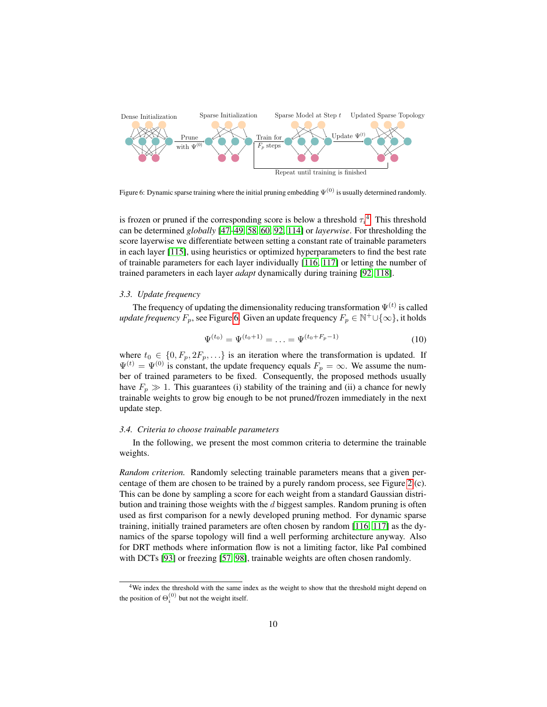

<span id="page-9-3"></span>Figure 6: Dynamic sparse training where the initial pruning embedding  $\Psi^{(0)}$  is usually determined randomly.

is frozen or pruned if the corresponding score is below a threshold  $\tau_i^4$  $\tau_i^4$ . This threshold can be determined *globally* [\[47](#page-32-2)[–49,](#page-32-6) [58,](#page-33-4) [60,](#page-33-5) [92,](#page-35-7) [114\]](#page-37-3) or *layerwise*. For thresholding the score layerwise we differentiate between setting a constant rate of trainable parameters in each layer [\[115\]](#page-37-4), using heuristics or optimized hyperparameters to find the best rate of trainable parameters for each layer individually [\[116,](#page-37-5) [117\]](#page-37-6) or letting the number of trained parameters in each layer *adapt* dynamically during training [\[92,](#page-35-7) [118\]](#page-37-7).

## <span id="page-9-0"></span>*3.3. Update frequency*

The frequency of updating the dimensionality reducing transformation  $\Psi^{(t)}$  is called *update frequency*  $F_p$ , see Figure [6.](#page-9-3) Given an update frequency  $F_p \in \mathbb{N}^+ \cup \{\infty\}$ , it holds

$$
\Psi^{(t_0)} = \Psi^{(t_0+1)} = \ldots = \Psi^{(t_0 + F_p - 1)} \tag{10}
$$

where  $t_0 \in \{0, F_p, 2F_p, \ldots\}$  is an iteration where the transformation is updated. If  $\Psi^{(t)} = \Psi^{(0)}$  is constant, the update frequency equals  $F_p = \infty$ . We assume the number of trained parameters to be fixed. Consequently, the proposed methods usually have  $F_p \gg 1$ . This guarantees (i) stability of the training and (ii) a chance for newly trainable weights to grow big enough to be not pruned/frozen immediately in the next update step.

## <span id="page-9-1"></span>*3.4. Criteria to choose trainable parameters*

In the following, we present the most common criteria to determine the trainable weights.

*Random criterion.* Randomly selecting trainable parameters means that a given percentage of them are chosen to be trained by a purely random process, see Figure [2](#page-2-0) (c). This can be done by sampling a score for each weight from a standard Gaussian distribution and training those weights with the  $d$  biggest samples. Random pruning is often used as first comparison for a newly developed pruning method. For dynamic sparse training, initially trained parameters are often chosen by random [\[116,](#page-37-5) [117\]](#page-37-6) as the dynamics of the sparse topology will find a well performing architecture anyway. Also for DRT methods where information flow is not a limiting factor, like PaI combined with DCTs [\[93\]](#page-35-8) or freezing [\[57,](#page-33-10) [98\]](#page-36-4), trainable weights are often chosen randomly.

<span id="page-9-2"></span><sup>&</sup>lt;sup>4</sup>We index the threshold with the same index as the weight to show that the threshold might depend on the position of  $\Theta_i^{(0)}$  but not the weight itself.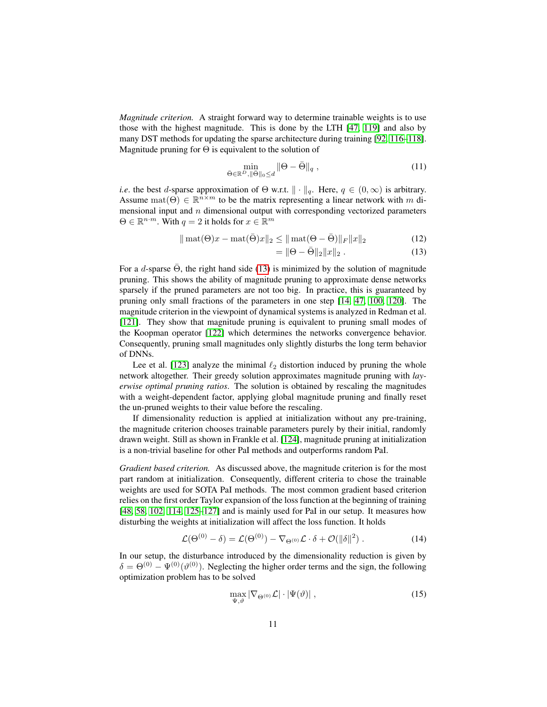*Magnitude criterion.* A straight forward way to determine trainable weights is to use those with the highest magnitude. This is done by the LTH [\[47,](#page-32-2) [119\]](#page-37-8) and also by many DST methods for updating the sparse architecture during training [\[92,](#page-35-7) [116–](#page-37-5)[118\]](#page-37-7). Magnitude pruning for  $\Theta$  is equivalent to the solution of

$$
\min_{\bar{\Theta} \in \mathbb{R}^D, \|\bar{\Theta}\|_0 \le d} \|\Theta - \bar{\Theta}\|_q ,\qquad(11)
$$

*i.e.* the best *d*-sparse approximation of  $\Theta$  w.r.t.  $\|\cdot\|_q$ . Here,  $q \in (0, \infty)$  is arbitrary. Assume  $\text{mat}(\Theta) \in \mathbb{R}^{n \times m}$  to be the matrix representing a linear network with m dimensional input and  $n$  dimensional output with corresponding vectorized parameters  $\Theta \in \mathbb{R}^{n \cdot m}$ . With  $q = 2$  it holds for  $x \in \mathbb{R}^m$ 

$$
\|\text{mat}(\Theta)x - \text{mat}(\bar{\Theta})x\|_2 \le \|\text{mat}(\Theta - \bar{\Theta})\|_F \|x\|_2
$$
\n(12)

<span id="page-10-0"></span>
$$
= \|\Theta - \bar{\Theta}\|_2 \|x\|_2 . \tag{13}
$$

For a d-sparse  $\Theta$ , the right hand side [\(13\)](#page-10-0) is minimized by the solution of magnitude pruning. This shows the ability of magnitude pruning to approximate dense networks sparsely if the pruned parameters are not too big. In practice, this is guaranteed by pruning only small fractions of the parameters in one step [\[14,](#page-30-1) [47,](#page-32-2) [100,](#page-36-6) [120\]](#page-38-0). The magnitude criterion in the viewpoint of dynamical systems is analyzed in Redman et al. [\[121\]](#page-38-1). They show that magnitude pruning is equivalent to pruning small modes of the Koopman operator [\[122\]](#page-38-2) which determines the networks convergence behavior. Consequently, pruning small magnitudes only slightly disturbs the long term behavior of DNNs.

Lee et al. [\[123\]](#page-38-3) analyze the minimal  $\ell_2$  distortion induced by pruning the whole network altogether. Their greedy solution approximates magnitude pruning with *layerwise optimal pruning ratios*. The solution is obtained by rescaling the magnitudes with a weight-dependent factor, applying global magnitude pruning and finally reset the un-pruned weights to their value before the rescaling.

If dimensionality reduction is applied at initialization without any pre-training, the magnitude criterion chooses trainable parameters purely by their initial, randomly drawn weight. Still as shown in Frankle et al. [\[124\]](#page-38-4), magnitude pruning at initialization is a non-trivial baseline for other PaI methods and outperforms random PaI.

*Gradient based criterion.* As discussed above, the magnitude criterion is for the most part random at initialization. Consequently, different criteria to chose the trainable weights are used for SOTA PaI methods. The most common gradient based criterion relies on the first order Taylor expansion of the loss function at the beginning of training [\[48,](#page-32-7) [58,](#page-33-4) [102,](#page-36-7) [114,](#page-37-3) [125](#page-38-5)[–127\]](#page-38-6) and is mainly used for PaI in our setup. It measures how disturbing the weights at initialization will affect the loss function. It holds

$$
\mathcal{L}(\Theta^{(0)} - \delta) = \mathcal{L}(\Theta^{(0)}) - \nabla_{\Theta^{(0)}} \mathcal{L} \cdot \delta + \mathcal{O}(\|\delta\|^2) \ . \tag{14}
$$

In our setup, the disturbance introduced by the dimensionality reduction is given by  $\delta = \Theta^{(0)} - \Psi^{(0)}(\vartheta^{(0)})$ . Neglecting the higher order terms and the sign, the following optimization problem has to be solved

<span id="page-10-2"></span><span id="page-10-1"></span>
$$
\max_{\Psi,\vartheta} |\nabla_{\Theta^{(0)}} \mathcal{L}| \cdot |\Psi(\vartheta)| \;, \tag{15}
$$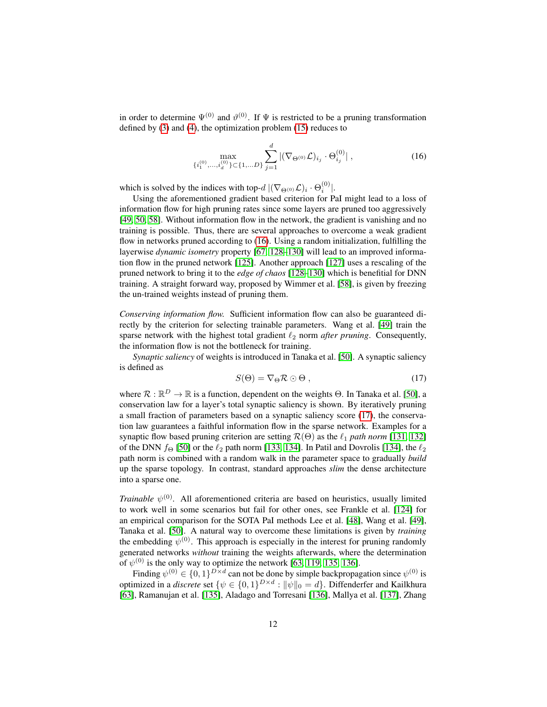in order to determine  $\Psi^{(0)}$  and  $\vartheta^{(0)}$ . If  $\Psi$  is restricted to be a pruning transformation defined by [\(3\)](#page-5-3) and [\(4\)](#page-5-2), the optimization problem [\(15\)](#page-10-1) reduces to

<span id="page-11-0"></span>
$$
\max_{\{i_1^{(0)},\dots,i_d^{(0)}\}\subset\{1,\dots D\}} \sum_{j=1}^d |(\nabla_{\Theta^{(0)}} \mathcal{L})_{i_j} \cdot \Theta_{i_j}^{(0)}| \,, \tag{16}
$$

which is solved by the indices with top- $d \, |(\nabla_{\Theta^{(0)}} \mathcal{L})_i \cdot \Theta_i^{(0)}|$ .

Using the aforementioned gradient based criterion for PaI might lead to a loss of information flow for high pruning rates since some layers are pruned too aggressively [\[49,](#page-32-6) [50,](#page-32-3) [58\]](#page-33-4). Without information flow in the network, the gradient is vanishing and no training is possible. Thus, there are several approaches to overcome a weak gradient flow in networks pruned according to [\(16\)](#page-11-0). Using a random initialization, fulfilling the layerwise *dynamic isometry* property [\[67,](#page-34-1) [128](#page-38-7)[–130\]](#page-38-8) will lead to an improved information flow in the pruned network [\[125\]](#page-38-5). Another approach [\[127\]](#page-38-6) uses a rescaling of the pruned network to bring it to the *edge of chaos* [\[128–](#page-38-7)[130\]](#page-38-8) which is benefitial for DNN training. A straight forward way, proposed by Wimmer et al. [\[58\]](#page-33-4), is given by freezing the un-trained weights instead of pruning them.

*Conserving information flow.* Sufficient information flow can also be guaranteed directly by the criterion for selecting trainable parameters. Wang et al. [\[49\]](#page-32-6) train the sparse network with the highest total gradient  $\ell_2$  norm *after pruning*. Consequently, the information flow is not the bottleneck for training.

<span id="page-11-1"></span>*Synaptic saliency* of weights is introduced in Tanaka et al. [\[50\]](#page-32-3). A synaptic saliency is defined as

$$
S(\Theta) = \nabla_{\Theta} \mathcal{R} \odot \Theta , \qquad (17)
$$

where  $\mathcal{R} : \mathbb{R}^D \to \mathbb{R}$  is a function, dependent on the weights  $\Theta$ . In Tanaka et al. [\[50\]](#page-32-3), a conservation law for a layer's total synaptic saliency is shown. By iteratively pruning a small fraction of parameters based on a synaptic saliency score [\(17\)](#page-11-1), the conservation law guarantees a faithful information flow in the sparse network. Examples for a synaptic flow based pruning criterion are setting  $\mathcal{R}(\Theta)$  as the  $\ell_1$  path norm [\[131,](#page-38-9) [132\]](#page-38-10) of the DNN  $f_{\Theta}$  [\[50\]](#page-32-3) or the  $\ell_2$  path norm [\[133,](#page-39-0) [134\]](#page-39-1). In Patil and Dovrolis [\[134\]](#page-39-1), the  $\ell_2$ path norm is combined with a random walk in the parameter space to gradually *build* up the sparse topology. In contrast, standard approaches *slim* the dense architecture into a sparse one.

*Trainable*  $\psi^{(0)}$ . All aforementioned criteria are based on heuristics, usually limited to work well in some scenarios but fail for other ones, see Frankle et al. [\[124\]](#page-38-4) for an empirical comparison for the SOTA PaI methods Lee et al. [\[48\]](#page-32-7), Wang et al. [\[49\]](#page-32-6), Tanaka et al. [\[50\]](#page-32-3). A natural way to overcome these limitations is given by *training* the embedding  $\psi^{(0)}$ . This approach is especially in the interest for pruning randomly generated networks *without* training the weights afterwards, where the determination of  $\psi^{(0)}$  is the only way to optimize the network [\[63,](#page-33-7) [119,](#page-37-8) [135,](#page-39-2) [136\]](#page-39-3).

Finding  $\psi^{(0)} \in \{0,1\}^{D \times d}$  can not be done by simple backpropagation since  $\psi^{(0)}$  is optimized in a *discrete* set  $\{\psi \in \{0,1\}^{D \times d} : ||\psi||_0 = d\}$ . Diffenderfer and Kailkhura [\[63\]](#page-33-7), Ramanujan et al. [\[135\]](#page-39-2), Aladago and Torresani [\[136\]](#page-39-3), Mallya et al. [\[137\]](#page-39-4), Zhang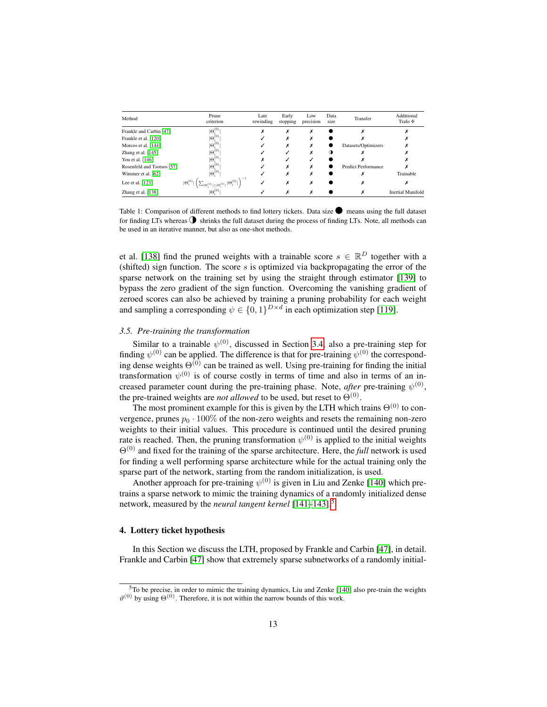| Method                     | Prune<br>criterion                                                                                                                                                                                           | Late<br>rewinding | Early<br>stopping | Low<br>precision | Data<br>size | Transfer            | Additional<br>Trafo $\Phi$ |
|----------------------------|--------------------------------------------------------------------------------------------------------------------------------------------------------------------------------------------------------------|-------------------|-------------------|------------------|--------------|---------------------|----------------------------|
| Frankle and Carbin [47]    | $ \Theta^{(0)}$                                                                                                                                                                                              | $\lambda$         | x                 | х                |              |                     |                            |
| Frankle et al. [120]       | $ \Theta_i^{(0)}\>$                                                                                                                                                                                          |                   | Ā                 | x                |              |                     |                            |
| Morcos et al. [144]        | $ \Theta_i^{(0)}\>$                                                                                                                                                                                          |                   | x                 | x                |              | Datasets/Optimizers |                            |
| Zhang et al. [145]         | $\Theta^{(0)}$                                                                                                                                                                                               |                   |                   | x                |              |                     |                            |
| You et al. [146]           | $ \Theta_i^{(0)}\>$                                                                                                                                                                                          |                   |                   |                  |              |                     |                            |
| Rosenfeld and Tsotsos [57] | $ \Theta_i^{(0)}\>$                                                                                                                                                                                          |                   | x                 | x                |              | Predict Performance |                            |
| Wimmer et al. [62]         | $ \Theta_i^{(0)}\>$                                                                                                                                                                                          |                   | x                 |                  |              |                     | Trainable                  |
| Lee et al. $[123]$         | $^{-1}$<br>$\hspace{0.3cm} \hspace{0.3cm} \hspace{0.3cm} \hspace{0.3cm} \hspace{0.3cm} \mathcal{L}_{ \Theta_j^{(0)} \geq  \Theta_i^{(0)} } \,  \Theta_j^{(0)}  \, \hspace{0.3cm} \big)$<br>$ \Theta_i^{(0)}$ | v                 | ^                 | X                |              |                     |                            |
| Zhang et al. [138]         | $\Theta^{(0)}$                                                                                                                                                                                               |                   | x                 |                  |              |                     | <b>Inertial Manifold</b>   |

<span id="page-12-3"></span>Table 1: Comparison of different methods to find lottery tickets. Data size  $\bullet$  means using the full dataset for finding LTs whereas  $\Phi$  shrinks the full dataset during the process of finding LTs. Note, all methods can be used in an iterative manner, but also as one-shot methods.

et al. [\[138\]](#page-39-6) find the pruned weights with a trainable score  $s \in \mathbb{R}^D$  together with a (shifted) sign function. The score  $s$  is optimized via backpropagating the error of the sparse network on the training set by using the straight through estimator [\[139\]](#page-39-7) to bypass the zero gradient of the sign function. Overcoming the vanishing gradient of zeroed scores can also be achieved by training a pruning probability for each weight and sampling a corresponding  $\psi \in \{0,1\}^{D \times d}$  in each optimization step [\[119\]](#page-37-8).

## <span id="page-12-1"></span>*3.5. Pre-training the transformation*

Similar to a trainable  $\psi^{(0)}$ , discussed in Section [3.4,](#page-9-1) also a pre-training step for finding  $\psi^{(0)}$  can be applied. The difference is that for pre-training  $\psi^{(0)}$  the corresponding dense weights  $\Theta^{(0)}$  can be trained as well. Using pre-training for finding the initial transformation  $\psi^{(0)}$  is of course costly in terms of time and also in terms of an increased parameter count during the pre-training phase. Note, *after* pre-training  $\psi^{(0)}$ , the pre-trained weights are *not allowed* to be used, but reset to  $\Theta^{(0)}$ .

The most prominent example for this is given by the LTH which trains  $\Theta^{(0)}$  to convergence, prunes  $p_0 \cdot 100\%$  of the non-zero weights and resets the remaining non-zero weights to their initial values. This procedure is continued until the desired pruning rate is reached. Then, the pruning transformation  $\psi^{(0)}$  is applied to the initial weights Θ(0) and fixed for the training of the sparse architecture. Here, the *full* network is used for finding a well performing sparse architecture while for the actual training only the sparse part of the network, starting from the random initialization, is used.

Another approach for pre-training  $\psi^{(0)}$  is given in Liu and Zenke [\[140\]](#page-39-8) which pretrains a sparse network to mimic the training dynamics of a randomly initialized dense network, measured by the *neural tangent kernel* [\[141](#page-39-9)[–143\]](#page-39-10).[5](#page-12-2)

## <span id="page-12-0"></span>4. Lottery ticket hypothesis

In this Section we discuss the LTH, proposed by Frankle and Carbin [\[47\]](#page-32-2), in detail. Frankle and Carbin [\[47\]](#page-32-2) show that extremely sparse subnetworks of a randomly initial-

<span id="page-12-2"></span> $5T\sigma$  be precise, in order to mimic the training dynamics, Liu and Zenke [\[140\]](#page-39-8) also pre-train the weights  $\vartheta^{(0)}$  by using  $\Theta^{(0)}$ . Therefore, it is not within the narrow bounds of this work.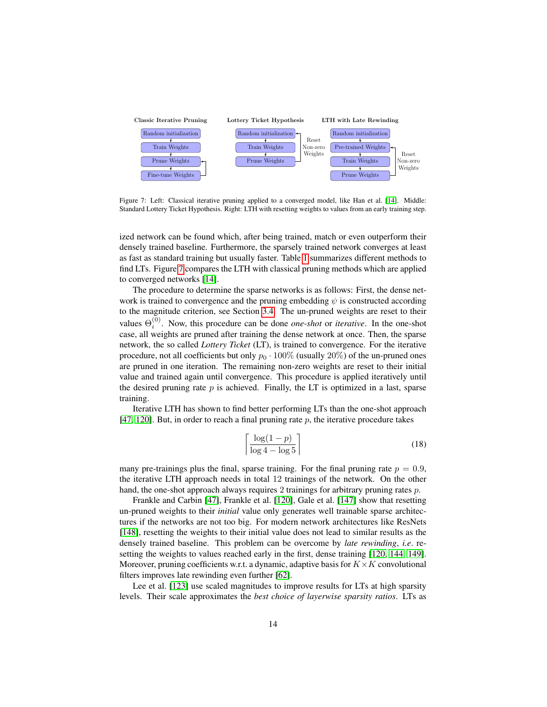

<span id="page-13-0"></span>Figure 7: Left: Classical iterative pruning applied to a converged model, like Han et al. [\[14\]](#page-30-1). Middle: Standard Lottery Ticket Hypothesis. Right: LTH with resetting weights to values from an early training step.

ized network can be found which, after being trained, match or even outperform their densely trained baseline. Furthermore, the sparsely trained network converges at least as fast as standard training but usually faster. Table [1](#page-12-3) summarizes different methods to find LTs. Figure [7](#page-13-0) compares the LTH with classical pruning methods which are applied to converged networks [\[14\]](#page-30-1).

The procedure to determine the sparse networks is as follows: First, the dense network is trained to convergence and the pruning embedding  $\psi$  is constructed according to the magnitude criterion, see Section [3.4.](#page-9-1) The un-pruned weights are reset to their values  $\Theta_i^{(0)}$ . Now, this procedure can be done *one-shot* or *iterative*. In the one-shot case, all weights are pruned after training the dense network at once. Then, the sparse network, the so called *Lottery Ticket* (LT), is trained to convergence. For the iterative procedure, not all coefficients but only  $p_0 \cdot 100\%$  (usually 20%) of the un-pruned ones are pruned in one iteration. The remaining non-zero weights are reset to their initial value and trained again until convergence. This procedure is applied iteratively until the desired pruning rate  $p$  is achieved. Finally, the LT is optimized in a last, sparse training.

Iterative LTH has shown to find better performing LTs than the one-shot approach [\[47,](#page-32-2) [120\]](#page-38-0). But, in order to reach a final pruning rate  $p$ , the iterative procedure takes

$$
\left\lceil \frac{\log(1-p)}{\log 4 - \log 5} \right\rceil \tag{18}
$$

many pre-trainings plus the final, sparse training. For the final pruning rate  $p = 0.9$ , the iterative LTH approach needs in total 12 trainings of the network. On the other hand, the one-shot approach always requires 2 trainings for arbitrary pruning rates p.

Frankle and Carbin [\[47\]](#page-32-2), Frankle et al. [\[120\]](#page-38-0), Gale et al. [\[147\]](#page-40-2) show that resetting un-pruned weights to their *initial* value only generates well trainable sparse architectures if the networks are not too big. For modern network architectures like ResNets [\[148\]](#page-40-3), resetting the weights to their initial value does not lead to similar results as the densely trained baseline. This problem can be overcome by *late rewinding*, *i.e*. resetting the weights to values reached early in the first, dense training [\[120,](#page-38-0) [144,](#page-39-5) [149\]](#page-40-4). Moreover, pruning coefficients w.r.t. a dynamic, adaptive basis for  $K \times K$  convolutional filters improves late rewinding even further [\[62\]](#page-33-6).

Lee et al. [\[123\]](#page-38-3) use scaled magnitudes to improve results for LTs at high sparsity levels. Their scale approximates the *best choice of layerwise sparsity ratios*. LTs as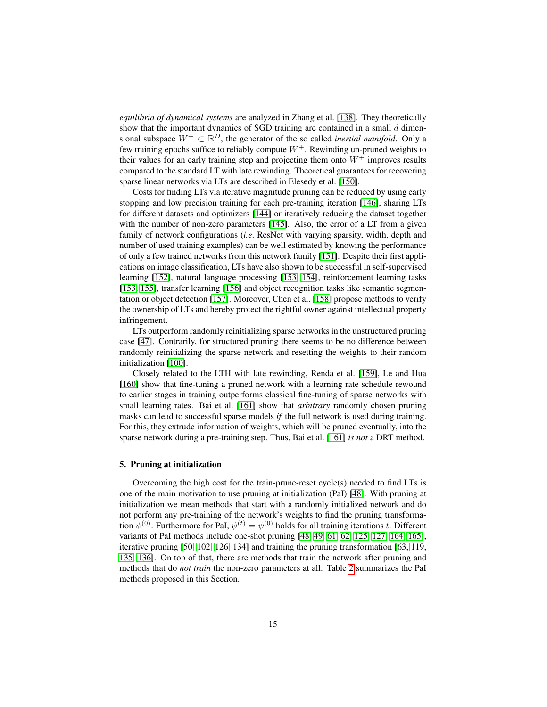*equilibria of dynamical systems* are analyzed in Zhang et al. [\[138\]](#page-39-6). They theoretically show that the important dynamics of SGD training are contained in a small  $d$  dimensional subspace  $W^+ \subset \mathbb{R}^D$ , the generator of the so called *inertial manifold*. Only a few training epochs suffice to reliably compute  $W^+$ . Rewinding un-pruned weights to their values for an early training step and projecting them onto  $W^+$  improves results compared to the standard LT with late rewinding. Theoretical guarantees for recovering sparse linear networks via LTs are described in Elesedy et al. [\[150\]](#page-40-5).

Costs for finding LTs via iterative magnitude pruning can be reduced by using early stopping and low precision training for each pre-training iteration [\[146\]](#page-40-1), sharing LTs for different datasets and optimizers [\[144\]](#page-39-5) or iteratively reducing the dataset together with the number of non-zero parameters [\[145\]](#page-40-0). Also, the error of a LT from a given family of network configurations (*i.e*. ResNet with varying sparsity, width, depth and number of used training examples) can be well estimated by knowing the performance of only a few trained networks from this network family [\[151\]](#page-40-6). Despite their first applications on image classification, LTs have also shown to be successful in self-supervised learning [\[152\]](#page-40-7), natural language processing [\[153,](#page-40-8) [154\]](#page-40-9), reinforcement learning tasks [\[153,](#page-40-8) [155\]](#page-40-10), transfer learning [\[156\]](#page-40-11) and object recognition tasks like semantic segmentation or object detection [\[157\]](#page-41-0). Moreover, Chen et al. [\[158\]](#page-41-1) propose methods to verify the ownership of LTs and hereby protect the rightful owner against intellectual property infringement.

LTs outperform randomly reinitializing sparse networks in the unstructured pruning case [\[47\]](#page-32-2). Contrarily, for structured pruning there seems to be no difference between randomly reinitializing the sparse network and resetting the weights to their random initialization [\[100\]](#page-36-6).

Closely related to the LTH with late rewinding, Renda et al. [\[159\]](#page-41-2), Le and Hua [\[160\]](#page-41-3) show that fine-tuning a pruned network with a learning rate schedule rewound to earlier stages in training outperforms classical fine-tuning of sparse networks with small learning rates. Bai et al. [\[161\]](#page-41-4) show that *arbitrary* randomly chosen pruning masks can lead to successful sparse models *if* the full network is used during training. For this, they extrude information of weights, which will be pruned eventually, into the sparse network during a pre-training step. Thus, Bai et al. [\[161\]](#page-41-4) *is not* a DRT method.

## <span id="page-14-0"></span>5. Pruning at initialization

Overcoming the high cost for the train-prune-reset cycle(s) needed to find LTs is one of the main motivation to use pruning at initialization (PaI) [\[48\]](#page-32-7). With pruning at initialization we mean methods that start with a randomly initialized network and do not perform any pre-training of the network's weights to find the pruning transformation  $\psi^{(0)}$ . Furthermore for PaI,  $\psi^{(t)} = \psi^{(0)}$  holds for all training iterations t. Different variants of PaI methods include one-shot pruning [\[48,](#page-32-7) [49,](#page-32-6) [61,](#page-33-12) [62,](#page-33-6) [125,](#page-38-5) [127,](#page-38-6) [164,](#page-41-5) [165\]](#page-41-6), iterative pruning [\[50,](#page-32-3) [102,](#page-36-7) [126,](#page-38-11) [134\]](#page-39-1) and training the pruning transformation [\[63,](#page-33-7) [119,](#page-37-8) [135,](#page-39-2) [136\]](#page-39-3). On top of that, there are methods that train the network after pruning and methods that do *not train* the non-zero parameters at all. Table [2](#page-15-0) summarizes the PaI methods proposed in this Section.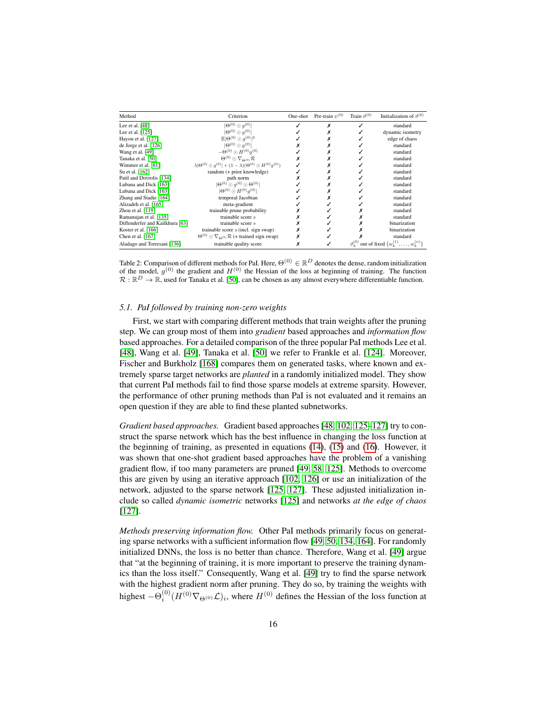| Method                          | Criterion                                                                               | One-shot | Pre-train $\psi^{(0)}$ | Train $\vartheta^{(0)}$ | Initialization of $\vartheta^{(0)}$             |
|---------------------------------|-----------------------------------------------------------------------------------------|----------|------------------------|-------------------------|-------------------------------------------------|
| Lee et al. [48]                 | $ \Theta^{(0)} \odot q^{(0)} $                                                          |          |                        |                         | standard                                        |
| Lee et al. $[125]$              | $ \Theta^{(0)} \odot q^{(0)} $                                                          |          |                        |                         | dynamic isometry                                |
| Hayou et al. [127]              | $\mathbb{E} \Theta^{(0)}\odot q^{(0)} ^2$                                               |          |                        |                         | edge of chaos                                   |
| de Jorge et al. $[126]$         | $ \Theta^{(0)} \odot q^{(0)} $                                                          |          |                        |                         | standard                                        |
| Wang et al. [49]                | $-\Theta^{(0)} \odot H^{(0)}q^{(0)}$                                                    |          |                        |                         | standard                                        |
| Tanaka et al. [50]              | $\Theta^{(0)} \odot \nabla_{\Theta^{(0)}} \mathcal{R}$                                  |          |                        |                         | standard                                        |
| Wimmer et al. [61]              | $\lambda  \Theta^{(0)} \odot q^{(0)}  + (1-\lambda)(\Theta^{(0)} \odot H^{(0)}q^{(0)})$ |          |                        |                         | standard                                        |
| Su et al. [162]                 | random (+ prior knowledge)                                                              |          |                        |                         | standard                                        |
| Patil and Dovrolis [134]        | path norm                                                                               |          |                        |                         | standard                                        |
| Lubana and Dick [163]           | $ \Theta^{(0)}\odot a^{(0)}\odot\Theta^{(0)} $                                          |          |                        |                         | standard                                        |
| Lubana and Dick [163]           | $ \Theta^{(0)} \odot H^{(0)}q^{(0)} $                                                   |          |                        |                         | standard                                        |
| Zhang and Stadie [164]          | temporal Jacobian                                                                       |          |                        |                         | standard                                        |
| Alizadeh et al. [165]           | meta-gradient                                                                           |          |                        |                         | standard                                        |
| Zhou et al. [119]               | trainable prune probability                                                             |          |                        |                         | standard                                        |
| Ramanujan et al. [135]          | trainable score s                                                                       |          |                        |                         | standard                                        |
| Diffenderfer and Kailkhura [63] | trainable score s                                                                       |          |                        |                         | binarization                                    |
| Koster et al. [166]             | trainable score $s$ (incl. sign swap)                                                   |          |                        |                         | binarization                                    |
| Chen et al. $[167]$             | $\Theta^{(0)} \odot \nabla_{\Theta^{(0)}} \mathcal{R}$ (+ trained sign swap)            |          |                        |                         | standard                                        |
| Aladago and Torresani [136]     | trainable quality score                                                                 |          |                        | $\vartheta_i^{(0)}$     | out of fixed $\{w_1^{(1)}, \ldots, w_k^{(n)}\}$ |

<span id="page-15-0"></span>Table 2: Comparison of different methods for PaI. Here,  $\Theta^{(0)} \in \mathbb{R}^D$  denotes the dense, random initialization of the model,  $g^{(0)}$  the gradient and  $H^{(0)}$  the Hessian of the loss at beginning of training. The function  $\mathcal{R}: \mathbb{R}^D \to \mathbb{R}$ , used for Tanaka et al. [\[50\]](#page-32-3), can be chosen as any almost everywhere differentiable function.

### *5.1. PaI followed by training non-zero weights*

First, we start with comparing different methods that train weights after the pruning step. We can group most of them into *gradient* based approaches and *information flow* based approaches. For a detailed comparison of the three popular PaI methods Lee et al. [\[48\]](#page-32-7), Wang et al. [\[49\]](#page-32-6), Tanaka et al. [\[50\]](#page-32-3) we refer to Frankle et al. [\[124\]](#page-38-4). Moreover, Fischer and Burkholz [\[168\]](#page-41-11) compares them on generated tasks, where known and extremely sparse target networks are *planted* in a randomly initialized model. They show that current PaI methods fail to find those sparse models at extreme sparsity. However, the performance of other pruning methods than PaI is not evaluated and it remains an open question if they are able to find these planted subnetworks.

*Gradient based approaches.* Gradient based approaches [\[48,](#page-32-7) [102,](#page-36-7) [125–](#page-38-5)[127\]](#page-38-6) try to construct the sparse network which has the best influence in changing the loss function at the beginning of training, as presented in equations [\(14\)](#page-10-2), [\(15\)](#page-10-1) and [\(16\)](#page-11-0). However, it was shown that one-shot gradient based approaches have the problem of a vanishing gradient flow, if too many parameters are pruned [\[49,](#page-32-6) [58,](#page-33-4) [125\]](#page-38-5). Methods to overcome this are given by using an iterative approach [\[102,](#page-36-7) [126\]](#page-38-11) or use an initialization of the network, adjusted to the sparse network [\[125,](#page-38-5) [127\]](#page-38-6). These adjusted initialization include so called *dynamic isometric* networks [\[125\]](#page-38-5) and networks *at the edge of chaos* [\[127\]](#page-38-6).

*Methods preserving information flow.* Other PaI methods primarily focus on generating sparse networks with a sufficient information flow [\[49,](#page-32-6) [50,](#page-32-3) [134,](#page-39-1) [164\]](#page-41-5). For randomly initialized DNNs, the loss is no better than chance. Therefore, Wang et al. [\[49\]](#page-32-6) argue that "at the beginning of training, it is more important to preserve the training dynamics than the loss itself." Consequently, Wang et al. [\[49\]](#page-32-6) try to find the sparse network with the highest gradient norm after pruning. They do so, by training the weights with highest  $-\Theta_i^{(0)}(H^{(0)}\nabla_{\Theta^{(0)}}\mathcal{L})_i$ , where  $H^{(0)}$  defines the Hessian of the loss function at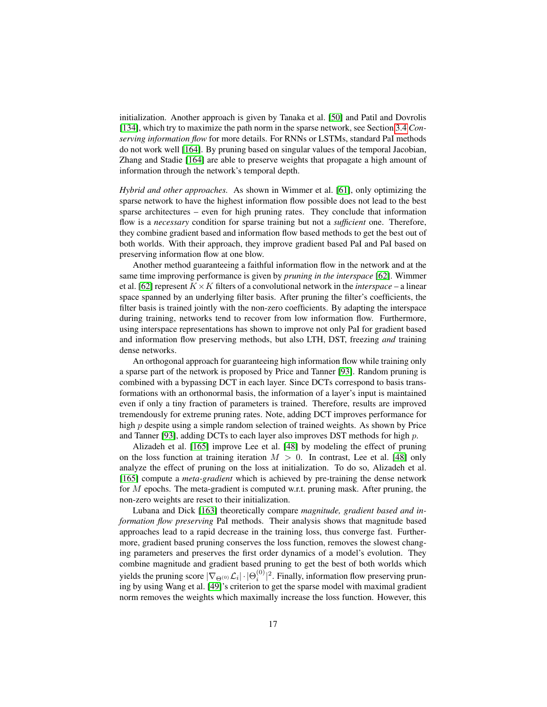initialization. Another approach is given by Tanaka et al. [\[50\]](#page-32-3) and Patil and Dovrolis [\[134\]](#page-39-1), which try to maximize the path norm in the sparse network, see Section [3.4](#page-9-1) *Conserving information flow* for more details. For RNNs or LSTMs, standard PaI methods do not work well [\[164\]](#page-41-5). By pruning based on singular values of the temporal Jacobian, Zhang and Stadie [\[164\]](#page-41-5) are able to preserve weights that propagate a high amount of information through the network's temporal depth.

*Hybrid and other approaches.* As shown in Wimmer et al. [\[61\]](#page-33-12), only optimizing the sparse network to have the highest information flow possible does not lead to the best sparse architectures – even for high pruning rates. They conclude that information flow is a *necessary* condition for sparse training but not a *sufficient* one. Therefore, they combine gradient based and information flow based methods to get the best out of both worlds. With their approach, they improve gradient based PaI and PaI based on preserving information flow at one blow.

Another method guaranteeing a faithful information flow in the network and at the same time improving performance is given by *pruning in the interspace* [\[62\]](#page-33-6). Wimmer et al. [\[62\]](#page-33-6) represent  $K \times K$  filters of a convolutional network in the *interspace* – a linear space spanned by an underlying filter basis. After pruning the filter's coefficients, the filter basis is trained jointly with the non-zero coefficients. By adapting the interspace during training, networks tend to recover from low information flow. Furthermore, using interspace representations has shown to improve not only PaI for gradient based and information flow preserving methods, but also LTH, DST, freezing *and* training dense networks.

An orthogonal approach for guaranteeing high information flow while training only a sparse part of the network is proposed by Price and Tanner [\[93\]](#page-35-8). Random pruning is combined with a bypassing DCT in each layer. Since DCTs correspond to basis transformations with an orthonormal basis, the information of a layer's input is maintained even if only a tiny fraction of parameters is trained. Therefore, results are improved tremendously for extreme pruning rates. Note, adding DCT improves performance for high p despite using a simple random selection of trained weights. As shown by Price and Tanner [\[93\]](#page-35-8), adding DCTs to each layer also improves DST methods for high  $p$ .

Alizadeh et al. [\[165\]](#page-41-6) improve Lee et al. [\[48\]](#page-32-7) by modeling the effect of pruning on the loss function at training iteration  $M > 0$ . In contrast, Lee et al. [\[48\]](#page-32-7) only analyze the effect of pruning on the loss at initialization. To do so, Alizadeh et al. [\[165\]](#page-41-6) compute a *meta-gradient* which is achieved by pre-training the dense network for M epochs. The meta-gradient is computed w.r.t. pruning mask. After pruning, the non-zero weights are reset to their initialization.

Lubana and Dick [\[163\]](#page-41-8) theoretically compare *magnitude, gradient based and information flow preserving* PaI methods. Their analysis shows that magnitude based approaches lead to a rapid decrease in the training loss, thus converge fast. Furthermore, gradient based pruning conserves the loss function, removes the slowest changing parameters and preserves the first order dynamics of a model's evolution. They combine magnitude and gradient based pruning to get the best of both worlds which yields the pruning score  $|\nabla_{\Theta^{(0)}} \mathcal{L}_i| \cdot |\Theta_i^{(0)}|^2$ . Finally, information flow preserving pruning by using Wang et al. [\[49\]](#page-32-6)'s criterion to get the sparse model with maximal gradient norm removes the weights which maximally increase the loss function. However, this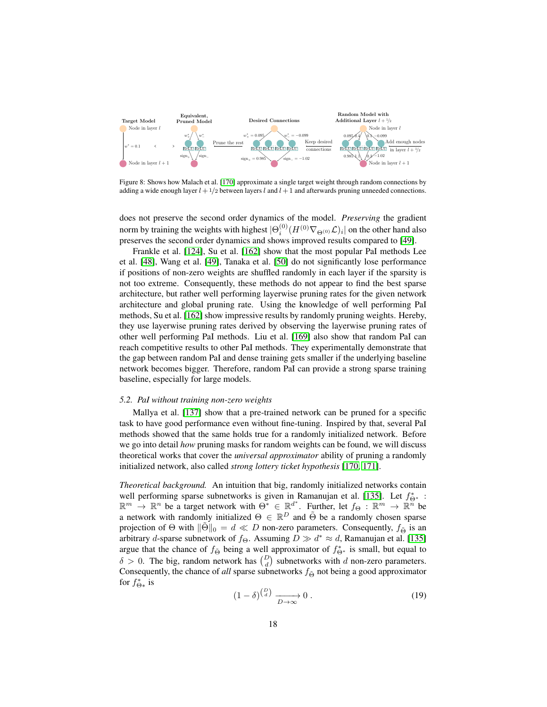

<span id="page-17-0"></span>Figure 8: Shows how Malach et al. [\[170\]](#page-41-12) approximate a single target weight through random connections by adding a wide enough layer  $l + 1/2$  between layers l and  $l + 1$  and afterwards pruning unneeded connections.

does not preserve the second order dynamics of the model. *Preserving* the gradient norm by training the weights with highest  $|\Theta_i^{(0)}(H^{(0)} \nabla_{\Theta^{(0)}} \mathcal{L})_i|$  on the other hand also preserves the second order dynamics and shows improved results compared to [\[49\]](#page-32-6).

Frankle et al. [\[124\]](#page-38-4), Su et al. [\[162\]](#page-41-7) show that the most popular PaI methods Lee et al. [\[48\]](#page-32-7), Wang et al. [\[49\]](#page-32-6), Tanaka et al. [\[50\]](#page-32-3) do not significantly lose performance if positions of non-zero weights are shuffled randomly in each layer if the sparsity is not too extreme. Consequently, these methods do not appear to find the best sparse architecture, but rather well performing layerwise pruning rates for the given network architecture and global pruning rate. Using the knowledge of well performing PaI methods, Su et al. [\[162\]](#page-41-7) show impressive results by randomly pruning weights. Hereby, they use layerwise pruning rates derived by observing the layerwise pruning rates of other well performing PaI methods. Liu et al. [\[169\]](#page-41-13) also show that random PaI can reach competitive results to other PaI methods. They experimentally demonstrate that the gap between random PaI and dense training gets smaller if the underlying baseline network becomes bigger. Therefore, random PaI can provide a strong sparse training baseline, especially for large models.

#### *5.2. PaI without training non-zero weights*

Mallya et al. [\[137\]](#page-39-4) show that a pre-trained network can be pruned for a specific task to have good performance even without fine-tuning. Inspired by that, several PaI methods showed that the same holds true for a randomly initialized network. Before we go into detail *how* pruning masks for random weights can be found, we will discuss theoretical works that cover the *universal approximator* ability of pruning a randomly initialized network, also called *strong lottery ticket hypothesis* [\[170,](#page-41-12) [171\]](#page-42-0).

*Theoretical background.* An intuition that big, randomly initialized networks contain well performing sparse subnetworks is given in Ramanujan et al. [\[135\]](#page-39-2). Let  $f_{\Theta^*}^*$  :  $\mathbb{R}^m \to \mathbb{R}^n$  be a target network with  $\Theta^* \in \mathbb{R}^{d^*}$ . Further, let  $f_{\Theta}: \mathbb{R}^m \to \mathbb{R}^n$  be a network with randomly initialized  $\Theta \in \mathbb{R}^D$  and  $\tilde{\Theta}$  be a randomly chosen sparse projection of  $\Theta$  with  $\|\Theta\|_0 = d \ll D$  non-zero parameters. Consequently,  $f_{\tilde{\Theta}}$  is an arbitrary *d*-sparse subnetwork of  $f_{\Theta}$ . Assuming  $D \gg d^* \approx d$ , Ramanujan et al. [\[135\]](#page-39-2) argue that the chance of  $f_{\Theta}$  being a well approximator of  $f_{\Theta^*}^*$  is small, but equal to  $\delta > 0$ . The big, random network has  $\binom{D}{d}$  subnetworks with d non-zero parameters. Consequently, the chance of *all* sparse subnetworks  $f_{\tilde{\Theta}}$  not being a good approximator for  $f_{\Theta*}^*$  is

$$
(1 - \delta)^{\binom{D}{d}} \xrightarrow{D \to \infty} 0 \tag{19}
$$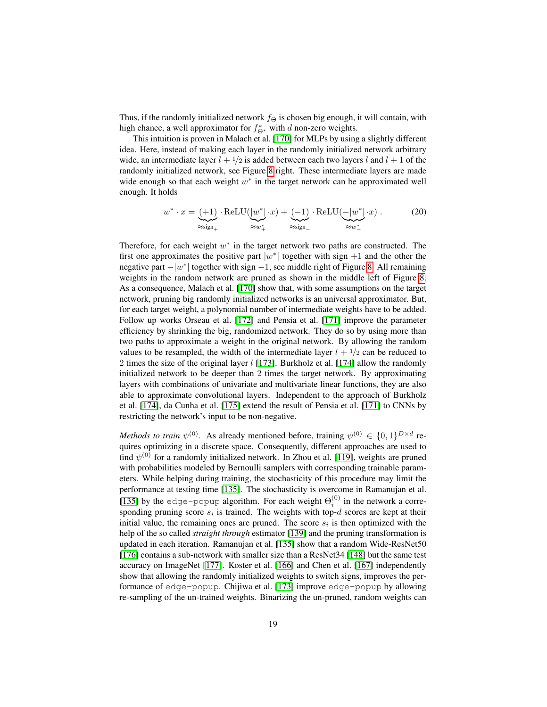Thus, if the randomly initialized network  $f_{\Theta}$  is chosen big enough, it will contain, with high chance, a well approximator for  $f_{\Theta^*}^*$  with d non-zero weights.

This intuition is proven in Malach et al. [\[170\]](#page-41-12) for MLPs by using a slightly different idea. Here, instead of making each layer in the randomly initialized network arbitrary wide, an intermediate layer  $l + \frac{1}{2}$  is added between each two layers l and  $l + 1$  of the randomly initialized network, see Figure [8](#page-17-0) right. These intermediate layers are made wide enough so that each weight  $w^*$  in the target network can be approximated well enough. It holds

$$
w^* \cdot x = \underbrace{(+1)}_{\approx \text{sign}_+} \cdot \text{ReLU}(\underbrace{|w^*|}_{\approx w^*_{+}} \cdot x) + \underbrace{(-1)}_{\approx \text{sign}_-} \cdot \text{ReLU}(\underbrace{-|w^*|}_{\approx w^*_{-}} \cdot x) . \tag{20}
$$

Therefore, for each weight  $w^*$  in the target network two paths are constructed. The first one approximates the positive part  $|w^*|$  together with sign  $+1$  and the other the negative part  $-|w^*|$  together with sign  $-1$ , see middle right of Figure [8.](#page-17-0) All remaining weights in the random network are pruned as shown in the middle left of Figure [8.](#page-17-0) As a consequence, Malach et al. [\[170\]](#page-41-12) show that, with some assumptions on the target network, pruning big randomly initialized networks is an universal approximator. But, for each target weight, a polynomial number of intermediate weights have to be added. Follow up works Orseau et al. [\[172\]](#page-42-1) and Pensia et al. [\[171\]](#page-42-0) improve the parameter efficiency by shrinking the big, randomized network. They do so by using more than two paths to approximate a weight in the original network. By allowing the random values to be resampled, the width of the intermediate layer  $l + \frac{1}{2}$  can be reduced to 2 times the size of the original layer  $l$  [\[173\]](#page-42-2). Burkholz et al. [\[174\]](#page-42-3) allow the randomly initialized network to be deeper than 2 times the target network. By approximating layers with combinations of univariate and multivariate linear functions, they are also able to approximate convolutional layers. Independent to the approach of Burkholz et al. [\[174\]](#page-42-3), da Cunha et al. [\[175\]](#page-42-4) extend the result of Pensia et al. [\[171\]](#page-42-0) to CNNs by restricting the network's input to be non-negative.

*Methods to train*  $\psi^{(0)}$ . As already mentioned before, training  $\psi^{(0)} \in \{0,1\}^{D \times d}$  requires optimizing in a discrete space. Consequently, different approaches are used to find  $\psi^{(0)}$  for a randomly initialized network. In Zhou et al. [\[119\]](#page-37-8), weights are pruned with probabilities modeled by Bernoulli samplers with corresponding trainable parameters. While helping during training, the stochasticity of this procedure may limit the performance at testing time [\[135\]](#page-39-2). The stochasticity is overcome in Ramanujan et al. [\[135\]](#page-39-2) by the edge-popup algorithm. For each weight  $\Theta_i^{(0)}$  in the network a corresponding pruning score  $s_i$  is trained. The weights with top- $d$  scores are kept at their initial value, the remaining ones are pruned. The score  $s_i$  is then optimized with the help of the so called *straight through* estimator [\[139\]](#page-39-7) and the pruning transformation is updated in each iteration. Ramanujan et al. [\[135\]](#page-39-2) show that a random Wide-ResNet50 [\[176\]](#page-42-5) contains a sub-network with smaller size than a ResNet34 [\[148\]](#page-40-3) but the same test accuracy on ImageNet [\[177\]](#page-42-6). Koster et al. [\[166\]](#page-41-9) and Chen et al. [\[167\]](#page-41-10) independently show that allowing the randomly initialized weights to switch signs, improves the performance of edge-popup. Chijiwa et al. [\[173\]](#page-42-2) improve edge-popup by allowing re-sampling of the un-trained weights. Binarizing the un-pruned, random weights can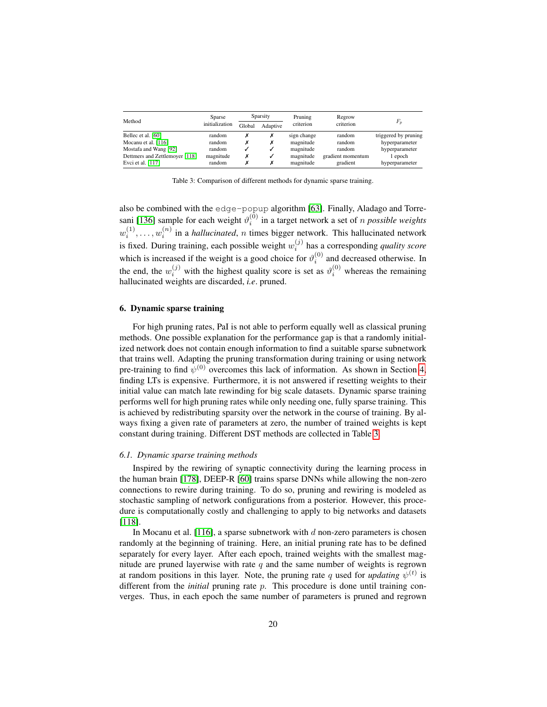| Method                         | Sparse         | Sparsity |          | Pruning     | Regrow            |                      |  |
|--------------------------------|----------------|----------|----------|-------------|-------------------|----------------------|--|
|                                | initialization | Global   | Adaptive | criterion   | criterion         | $F_p$                |  |
| Bellec et al. [60]             | random         |          |          | sign change | random            | triggered by pruning |  |
| Mocanu et al. [116]            | random         |          |          | magnitude   | random            | hyperparameter       |  |
| Mostafa and Wang [92]          | random         |          |          | magnitude   | random            | hyperparameter       |  |
| Dettmers and Zettlemoyer [118] | magnitude      |          |          | magnitude   | gradient momentum | 1 epoch              |  |
| Evci et al. [117]              | random         |          |          | magnitude   | gradient          | hyperparameter       |  |

<span id="page-19-1"></span>Table 3: Comparison of different methods for dynamic sparse training.

also be combined with the edge-popup algorithm [\[63\]](#page-33-7). Finally, Aladago and Torre-sani [\[136\]](#page-39-3) sample for each weight  $\vartheta_i^{(0)}$  in a target network a set of *n possible weights*  $w_i^{(1)}, \ldots, w_i^{(n)}$  in a *hallucinated*, *n* times bigger network. This hallucinated network is fixed. During training, each possible weight  $w_i^{(j)}$  has a corresponding *quality score* which is increased if the weight is a good choice for  $\vartheta_i^{(0)}$  and decreased otherwise. In the end, the  $w_i^{(j)}$  with the highest quality score is set as  $\vartheta_i^{(0)}$  whereas the remaining hallucinated weights are discarded, *i.e*. pruned.

## <span id="page-19-0"></span>6. Dynamic sparse training

For high pruning rates, PaI is not able to perform equally well as classical pruning methods. One possible explanation for the performance gap is that a randomly initialized network does not contain enough information to find a suitable sparse subnetwork that trains well. Adapting the pruning transformation during training or using network pre-training to find  $\psi^{(0)}$  overcomes this lack of information. As shown in Section [4,](#page-12-0) finding LTs is expensive. Furthermore, it is not answered if resetting weights to their initial value can match late rewinding for big scale datasets. Dynamic sparse training performs well for high pruning rates while only needing one, fully sparse training. This is achieved by redistributing sparsity over the network in the course of training. By always fixing a given rate of parameters at zero, the number of trained weights is kept constant during training. Different DST methods are collected in Table [3.](#page-19-1)

## *6.1. Dynamic sparse training methods*

Inspired by the rewiring of synaptic connectivity during the learning process in the human brain [\[178\]](#page-42-7), DEEP-R [\[60\]](#page-33-5) trains sparse DNNs while allowing the non-zero connections to rewire during training. To do so, pruning and rewiring is modeled as stochastic sampling of network configurations from a posterior. However, this procedure is computationally costly and challenging to apply to big networks and datasets [\[118\]](#page-37-7).

In Mocanu et al.  $[116]$ , a sparse subnetwork with d non-zero parameters is chosen randomly at the beginning of training. Here, an initial pruning rate has to be defined separately for every layer. After each epoch, trained weights with the smallest magnitude are pruned layerwise with rate  $q$  and the same number of weights is regrown at random positions in this layer. Note, the pruning rate q used for *updating*  $\psi^{(t)}$  is different from the *initial* pruning rate p. This procedure is done until training converges. Thus, in each epoch the same number of parameters is pruned and regrown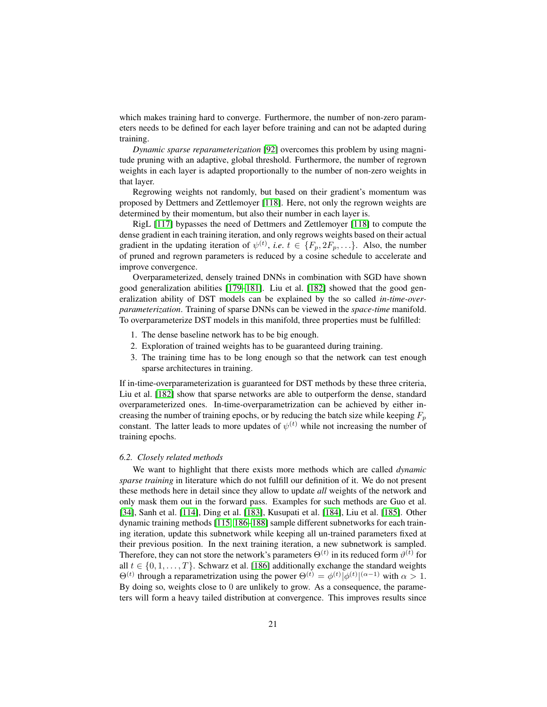which makes training hard to converge. Furthermore, the number of non-zero parameters needs to be defined for each layer before training and can not be adapted during training.

*Dynamic sparse reparameterization* [\[92\]](#page-35-7) overcomes this problem by using magnitude pruning with an adaptive, global threshold. Furthermore, the number of regrown weights in each layer is adapted proportionally to the number of non-zero weights in that layer.

Regrowing weights not randomly, but based on their gradient's momentum was proposed by Dettmers and Zettlemoyer [\[118\]](#page-37-7). Here, not only the regrown weights are determined by their momentum, but also their number in each layer is.

RigL [\[117\]](#page-37-6) bypasses the need of Dettmers and Zettlemoyer [\[118\]](#page-37-7) to compute the dense gradient in each training iteration, and only regrows weights based on their actual gradient in the updating iteration of  $\psi^{(t)}$ , *i.e.*  $t \in \{F_p, 2F_p, \ldots\}$ . Also, the number of pruned and regrown parameters is reduced by a cosine schedule to accelerate and improve convergence.

Overparameterized, densely trained DNNs in combination with SGD have shown good generalization abilities [\[179](#page-42-8)[–181\]](#page-42-9). Liu et al. [\[182\]](#page-42-10) showed that the good generalization ability of DST models can be explained by the so called *in-time-overparameterization*. Training of sparse DNNs can be viewed in the *space-time* manifold. To overparameterize DST models in this manifold, three properties must be fulfilled:

- 1. The dense baseline network has to be big enough.
- 2. Exploration of trained weights has to be guaranteed during training.
- 3. The training time has to be long enough so that the network can test enough sparse architectures in training.

If in-time-overparameterization is guaranteed for DST methods by these three criteria, Liu et al. [\[182\]](#page-42-10) show that sparse networks are able to outperform the dense, standard overparameterized ones. In-time-overparametrization can be achieved by either increasing the number of training epochs, or by reducing the batch size while keeping  $F_p$ constant. The latter leads to more updates of  $\psi^{(t)}$  while not increasing the number of training epochs.

## *6.2. Closely related methods*

We want to highlight that there exists more methods which are called *dynamic sparse training* in literature which do not fulfill our definition of it. We do not present these methods here in detail since they allow to update *all* weights of the network and only mask them out in the forward pass. Examples for such methods are Guo et al. [\[34\]](#page-31-10), Sanh et al. [\[114\]](#page-37-3), Ding et al. [\[183\]](#page-42-11), Kusupati et al. [\[184\]](#page-43-0), Liu et al. [\[185\]](#page-43-1). Other dynamic training methods [\[115,](#page-37-4) [186](#page-43-2)[–188\]](#page-43-3) sample different subnetworks for each training iteration, update this subnetwork while keeping all un-trained parameters fixed at their previous position. In the next training iteration, a new subnetwork is sampled. Therefore, they can not store the network's parameters  $\Theta^{(t)}$  in its reduced form  $\vartheta^{(t)}$  for all  $t \in \{0, 1, \ldots, T\}$ . Schwarz et al. [\[186\]](#page-43-2) additionally exchange the standard weights  $\Theta^{(t)}$  through a reparametrization using the power  $\Theta^{(t)} = \phi^{(t)} |\phi^{(t)}|^{(\alpha-1)}$  with  $\alpha > 1$ . By doing so, weights close to 0 are unlikely to grow. As a consequence, the parameters will form a heavy tailed distribution at convergence. This improves results since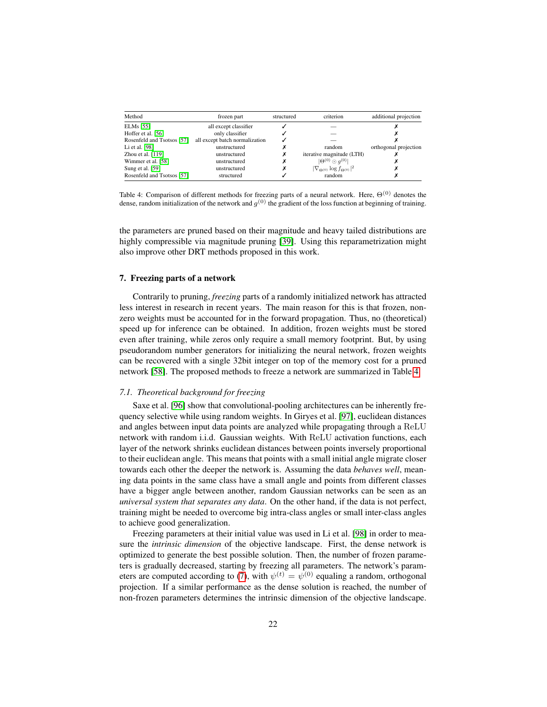| Method                     | frozen part                    | structured | criterion                                         | additional projection |  |
|----------------------------|--------------------------------|------------|---------------------------------------------------|-----------------------|--|
| <b>ELMs</b> [55]           | all except classifier          |            |                                                   |                       |  |
| Hoffer et al. [56]         | only classifier                |            |                                                   |                       |  |
| Rosenfeld and Tsotsos [57] | all except batch normalization |            |                                                   |                       |  |
| Li et al. [98]             | unstructured                   |            | random                                            | orthogonal projection |  |
| Zhou et al. $[119]$        | unstructured                   | х          | iterative magnitude (LTH)                         |                       |  |
| Wimmer et al. [58]         | unstructured                   | х          | $ \Theta^{(0)} \odot q^{(0)} $                    |                       |  |
| Sung et al. [59]           | unstructured                   | х          | $ \nabla_{\Theta^{(0)}} \log f_{\Theta^{(0)}} ^2$ |                       |  |
| Rosenfeld and Tsotsos [57] | structured                     |            | random                                            |                       |  |

<span id="page-21-1"></span>Table 4: Comparison of different methods for freezing parts of a neural network. Here,  $\Theta^{(0)}$  denotes the dense, random initialization of the network and  $g^{(0)}$  the gradient of the loss function at beginning of training.

the parameters are pruned based on their magnitude and heavy tailed distributions are highly compressible via magnitude pruning [\[39\]](#page-31-8). Using this reparametrization might also improve other DRT methods proposed in this work.

## <span id="page-21-0"></span>7. Freezing parts of a network

Contrarily to pruning, *freezing* parts of a randomly initialized network has attracted less interest in research in recent years. The main reason for this is that frozen, nonzero weights must be accounted for in the forward propagation. Thus, no (theoretical) speed up for inference can be obtained. In addition, frozen weights must be stored even after training, while zeros only require a small memory footprint. But, by using pseudorandom number generators for initializing the neural network, frozen weights can be recovered with a single 32bit integer on top of the memory cost for a pruned network [\[58\]](#page-33-4). The proposed methods to freeze a network are summarized in Table [4.](#page-21-1)

#### *7.1. Theoretical background for freezing*

Saxe et al. [\[96\]](#page-36-2) show that convolutional-pooling architectures can be inherently frequency selective while using random weights. In Giryes et al. [\[97\]](#page-36-3), euclidean distances and angles between input data points are analyzed while propagating through a ReLU network with random i.i.d. Gaussian weights. With ReLU activation functions, each layer of the network shrinks euclidean distances between points inversely proportional to their euclidean angle. This means that points with a small initial angle migrate closer towards each other the deeper the network is. Assuming the data *behaves well*, meaning data points in the same class have a small angle and points from different classes have a bigger angle between another, random Gaussian networks can be seen as an *universal system that separates any data*. On the other hand, if the data is not perfect, training might be needed to overcome big intra-class angles or small inter-class angles to achieve good generalization.

Freezing parameters at their initial value was used in Li et al. [\[98\]](#page-36-4) in order to measure the *intrinsic dimension* of the objective landscape. First, the dense network is optimized to generate the best possible solution. Then, the number of frozen parameters is gradually decreased, starting by freezing all parameters. The network's param-eters are computed according to [\(7\)](#page-6-2), with  $\psi^{(t)} = \psi^{(0)}$  equaling a random, orthogonal projection. If a similar performance as the dense solution is reached, the number of non-frozen parameters determines the intrinsic dimension of the objective landscape.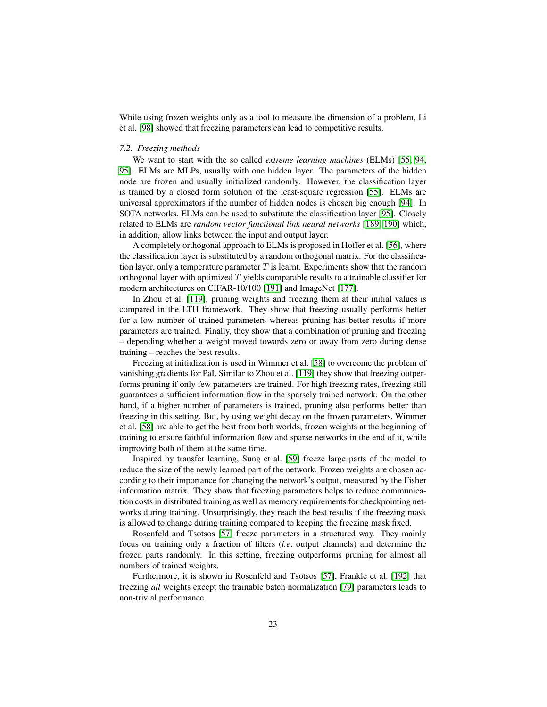While using frozen weights only as a tool to measure the dimension of a problem, Li et al. [\[98\]](#page-36-4) showed that freezing parameters can lead to competitive results.

#### *7.2. Freezing methods*

We want to start with the so called *extreme learning machines* (ELMs) [\[55,](#page-33-2) [94,](#page-36-0) [95\]](#page-36-1). ELMs are MLPs, usually with one hidden layer. The parameters of the hidden node are frozen and usually initialized randomly. However, the classification layer is trained by a closed form solution of the least-square regression [\[55\]](#page-33-2). ELMs are universal approximators if the number of hidden nodes is chosen big enough [\[94\]](#page-36-0). In SOTA networks, ELMs can be used to substitute the classification layer [\[95\]](#page-36-1). Closely related to ELMs are *random vector functional link neural networks* [\[189,](#page-43-4) [190\]](#page-43-5) which, in addition, allow links between the input and output layer.

A completely orthogonal approach to ELMs is proposed in Hoffer et al. [\[56\]](#page-33-11), where the classification layer is substituted by a random orthogonal matrix. For the classification layer, only a temperature parameter  $T$  is learnt. Experiments show that the random orthogonal layer with optimized  $T$  yields comparable results to a trainable classifier for modern architectures on CIFAR-10/100 [\[191\]](#page-43-6) and ImageNet [\[177\]](#page-42-6).

In Zhou et al. [\[119\]](#page-37-8), pruning weights and freezing them at their initial values is compared in the LTH framework. They show that freezing usually performs better for a low number of trained parameters whereas pruning has better results if more parameters are trained. Finally, they show that a combination of pruning and freezing – depending whether a weight moved towards zero or away from zero during dense training – reaches the best results.

Freezing at initialization is used in Wimmer et al. [\[58\]](#page-33-4) to overcome the problem of vanishing gradients for PaI. Similar to Zhou et al. [\[119\]](#page-37-8) they show that freezing outperforms pruning if only few parameters are trained. For high freezing rates, freezing still guarantees a sufficient information flow in the sparsely trained network. On the other hand, if a higher number of parameters is trained, pruning also performs better than freezing in this setting. But, by using weight decay on the frozen parameters, Wimmer et al. [\[58\]](#page-33-4) are able to get the best from both worlds, frozen weights at the beginning of training to ensure faithful information flow and sparse networks in the end of it, while improving both of them at the same time.

Inspired by transfer learning, Sung et al. [\[59\]](#page-33-3) freeze large parts of the model to reduce the size of the newly learned part of the network. Frozen weights are chosen according to their importance for changing the network's output, measured by the Fisher information matrix. They show that freezing parameters helps to reduce communication costs in distributed training as well as memory requirements for checkpointing networks during training. Unsurprisingly, they reach the best results if the freezing mask is allowed to change during training compared to keeping the freezing mask fixed.

Rosenfeld and Tsotsos [\[57\]](#page-33-10) freeze parameters in a structured way. They mainly focus on training only a fraction of filters (*i.e*. output channels) and determine the frozen parts randomly. In this setting, freezing outperforms pruning for almost all numbers of trained weights.

Furthermore, it is shown in Rosenfeld and Tsotsos [\[57\]](#page-33-10), Frankle et al. [\[192\]](#page-43-7) that freezing *all* weights except the trainable batch normalization [\[79\]](#page-34-12) parameters leads to non-trivial performance.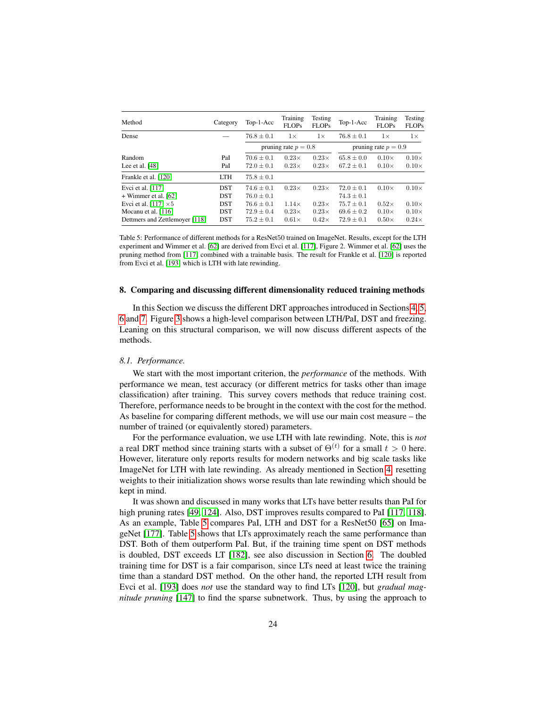| Method                         | Category   | Top-1-Acc              | Training<br><b>FLOPs</b> | Testing<br><b>FLOPs</b> | Top-1-Acc      | Training<br><b>FLOPs</b> | Testing<br><b>FLOPs</b> |
|--------------------------------|------------|------------------------|--------------------------|-------------------------|----------------|--------------------------|-------------------------|
| Dense                          |            | $76.8 \pm 0.1$         | $1\times$                | $1\times$               | $76.8 \pm 0.1$ | $1\times$                | $1\times$               |
|                                |            | pruning rate $p = 0.8$ |                          | pruning rate $p = 0.9$  |                |                          |                         |
| Random                         | PaI        | $70.6 \pm 0.1$         | $0.23\times$             | $0.23\times$            | $65.8 \pm 0.0$ | $0.10\times$             | $0.10\times$            |
| Lee et al. $[48]$              | PaI        | $72.0 \pm 0.1$         | $0.23\times$             | $0.23\times$            | $67.2 \pm 0.1$ | $0.10\times$             | $0.10\times$            |
| Frankle et al. [120]           | <b>LTH</b> | $75.8 \pm 0.1$         |                          |                         |                |                          |                         |
| Evci et al. [117]              | <b>DST</b> | $74.6 + 0.1$           | $0.23\times$             | $0.23\times$            | $72.0 + 0.1$   | $0.10\times$             | $0.10\times$            |
| + Wimmer et al. [62]           | <b>DST</b> | $76.0 \pm 0.1$         |                          |                         | $74.3 \pm 0.1$ |                          |                         |
| Evci et al. [117] $\times 5$   | <b>DST</b> | $76.6 \pm 0.1$         | $1.14\times$             | $0.23\times$            | $75.7 \pm 0.1$ | $0.52\times$             | $0.10\times$            |
| Mocanu et al. [116]            | <b>DST</b> | $72.9 \pm 0.4$         | $0.23\times$             | $0.23\times$            | $69.6 \pm 0.2$ | $0.10\times$             | $0.10\times$            |
| Dettmers and Zettlemoyer [118] | <b>DST</b> | $75.2 \pm 0.1$         | $0.61\times$             | $0.42\times$            | $72.9 \pm 0.1$ | $0.50\times$             | $0.24\times$            |

<span id="page-23-1"></span>Table 5: Performance of different methods for a ResNet50 trained on ImageNet. Results, except for the LTH experiment and Wimmer et al. [\[62\]](#page-33-6) are derived from Evci et al. [\[117\]](#page-37-6), Figure 2. Wimmer et al. [\[62\]](#page-33-6) uses the pruning method from [\[117\]](#page-37-6) combined with a trainable basis. The result for Frankle et al. [\[120\]](#page-38-0) is reported from Evci et al. [\[193\]](#page-43-8) which is LTH with late rewinding.

#### <span id="page-23-0"></span>8. Comparing and discussing different dimensionality reduced training methods

In this Section we discuss the different DRT approaches introduced in Sections [4,](#page-12-0) [5,](#page-14-0) [6](#page-19-0) and [7.](#page-21-0) Figure [3](#page-4-0) shows a high-level comparison between LTH/PaI, DST and freezing. Leaning on this structural comparison, we will now discuss different aspects of the methods.

#### *8.1. Performance.*

We start with the most important criterion, the *performance* of the methods. With performance we mean, test accuracy (or different metrics for tasks other than image classification) after training. This survey covers methods that reduce training cost. Therefore, performance needs to be brought in the context with the cost for the method. As baseline for comparing different methods, we will use our main cost measure – the number of trained (or equivalently stored) parameters.

For the performance evaluation, we use LTH with late rewinding. Note, this is *not* a real DRT method since training starts with a subset of  $\Theta^{(t)}$  for a small  $t > 0$  here. However, literature only reports results for modern networks and big scale tasks like ImageNet for LTH with late rewinding. As already mentioned in Section [4,](#page-12-0) resetting weights to their initialization shows worse results than late rewinding which should be kept in mind.

It was shown and discussed in many works that LTs have better results than PaI for high pruning rates [\[49,](#page-32-6) [124\]](#page-38-4). Also, DST improves results compared to PaI [\[117,](#page-37-6) [118\]](#page-37-7). As an example, Table [5](#page-23-1) compares PaI, LTH and DST for a ResNet50 [\[65\]](#page-33-9) on ImageNet [\[177\]](#page-42-6). Table [5](#page-23-1) shows that LTs approximately reach the same performance than DST. Both of them outperform PaI. But, if the training time spent on DST methods is doubled, DST exceeds LT [\[182\]](#page-42-10), see also discussion in Section [6.](#page-19-0) The doubled training time for DST is a fair comparison, since LTs need at least twice the training time than a standard DST method. On the other hand, the reported LTH result from Evci et al. [\[193\]](#page-43-8) does *not* use the standard way to find LTs [\[120\]](#page-38-0), but *gradual magnitude pruning* [\[147\]](#page-40-2) to find the sparse subnetwork. Thus, by using the approach to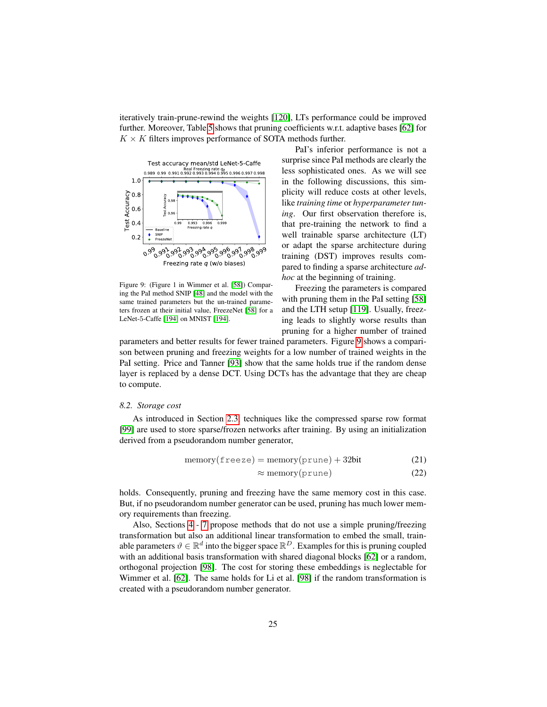iteratively train-prune-rewind the weights [\[120\]](#page-38-0), LTs performance could be improved further. Moreover, Table [5](#page-23-1) shows that pruning coefficients w.r.t. adaptive bases [\[62\]](#page-33-6) for  $K \times K$  filters improves performance of SOTA methods further.



<span id="page-24-0"></span>Figure 9: (Figure 1 in Wimmer et al. [\[58\]](#page-33-4)) Comparing the PaI method SNIP [\[48\]](#page-32-7) and the model with the same trained parameters but the un-trained parameters frozen at their initial value, FreezeNet [\[58\]](#page-33-4) for a LeNet-5-Caffe [\[194\]](#page-43-9) on MNIST [\[194\]](#page-43-9).

PaI's inferior performance is not a surprise since PaI methods are clearly the less sophisticated ones. As we will see in the following discussions, this simplicity will reduce costs at other levels, like *training time* or *hyperparameter tuning*. Our first observation therefore is, that pre-training the network to find a well trainable sparse architecture (LT) or adapt the sparse architecture during training (DST) improves results compared to finding a sparse architecture *adhoc* at the beginning of training.

Freezing the parameters is compared with pruning them in the PaI setting [\[58\]](#page-33-4) and the LTH setup [\[119\]](#page-37-8). Usually, freezing leads to slightly worse results than pruning for a higher number of trained

parameters and better results for fewer trained parameters. Figure [9](#page-24-0) shows a comparison between pruning and freezing weights for a low number of trained weights in the PaI setting. Price and Tanner [\[93\]](#page-35-8) show that the same holds true if the random dense layer is replaced by a dense DCT. Using DCTs has the advantage that they are cheap to compute.

#### *8.2. Storage cost*

As introduced in Section [2.3,](#page-7-1) techniques like the compressed sparse row format [\[99\]](#page-36-5) are used to store sparse/frozen networks after training. By using an initialization derived from a pseudorandom number generator,

$$
memory(freeze) = memory(prune) + 32bit
$$
 (21)

$$
\approx \text{memory}(\text{prune}) \tag{22}
$$

holds. Consequently, pruning and freezing have the same memory cost in this case. But, if no pseudorandom number generator can be used, pruning has much lower memory requirements than freezing.

Also, Sections [4](#page-12-0) - [7](#page-21-0) propose methods that do not use a simple pruning/freezing transformation but also an additional linear transformation to embed the small, trainable parameters  $\vartheta \in \mathbb{R}^d$  into the bigger space  $\mathbb{R}^D$ . Examples for this is pruning coupled with an additional basis transformation with shared diagonal blocks [\[62\]](#page-33-6) or a random, orthogonal projection [\[98\]](#page-36-4). The cost for storing these embeddings is neglectable for Wimmer et al. [\[62\]](#page-33-6). The same holds for Li et al. [\[98\]](#page-36-4) if the random transformation is created with a pseudorandom number generator.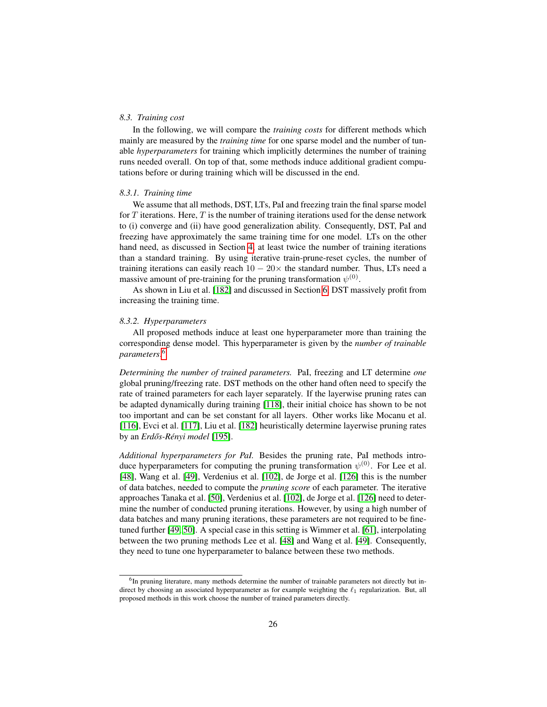## <span id="page-25-1"></span>*8.3. Training cost*

In the following, we will compare the *training costs* for different methods which mainly are measured by the *training time* for one sparse model and the number of tunable *hyperparameters* for training which implicitly determines the number of training runs needed overall. On top of that, some methods induce additional gradient computations before or during training which will be discussed in the end.

## *8.3.1. Training time*

We assume that all methods, DST, LTs, PaI and freezing train the final sparse model for  $T$  iterations. Here,  $T$  is the number of training iterations used for the dense network to (i) converge and (ii) have good generalization ability. Consequently, DST, PaI and freezing have approximately the same training time for one model. LTs on the other hand need, as discussed in Section [4,](#page-12-0) at least twice the number of training iterations than a standard training. By using iterative train-prune-reset cycles, the number of training iterations can easily reach  $10 - 20 \times$  the standard number. Thus, LTs need a massive amount of pre-training for the pruning transformation  $\psi^{(0)}$ .

As shown in Liu et al. [\[182\]](#page-42-10) and discussed in Section [6,](#page-19-0) DST massively profit from increasing the training time.

#### *8.3.2. Hyperparameters*

All proposed methods induce at least one hyperparameter more than training the corresponding dense model. This hyperparameter is given by the *number of trainable parameters*. [6](#page-25-0)

*Determining the number of trained parameters.* PaI, freezing and LT determine *one* global pruning/freezing rate. DST methods on the other hand often need to specify the rate of trained parameters for each layer separately. If the layerwise pruning rates can be adapted dynamically during training [\[118\]](#page-37-7), their initial choice has shown to be not too important and can be set constant for all layers. Other works like Mocanu et al. [\[116\]](#page-37-5), Evci et al. [\[117\]](#page-37-6), Liu et al. [\[182\]](#page-42-10) heuristically determine layerwise pruning rates by an *Erdős-Rényi model* [\[195\]](#page-43-10).

*Additional hyperparameters for PaI.* Besides the pruning rate, PaI methods introduce hyperparameters for computing the pruning transformation  $\psi^{(0)}$ . For Lee et al. [\[48\]](#page-32-7), Wang et al. [\[49\]](#page-32-6), Verdenius et al. [\[102\]](#page-36-7), de Jorge et al. [\[126\]](#page-38-11) this is the number of data batches, needed to compute the *pruning score* of each parameter. The iterative approaches Tanaka et al. [\[50\]](#page-32-3), Verdenius et al. [\[102\]](#page-36-7), de Jorge et al. [\[126\]](#page-38-11) need to determine the number of conducted pruning iterations. However, by using a high number of data batches and many pruning iterations, these parameters are not required to be finetuned further [\[49,](#page-32-6) [50\]](#page-32-3). A special case in this setting is Wimmer et al. [\[61\]](#page-33-12), interpolating between the two pruning methods Lee et al. [\[48\]](#page-32-7) and Wang et al. [\[49\]](#page-32-6). Consequently, they need to tune one hyperparameter to balance between these two methods.

<span id="page-25-0"></span><sup>&</sup>lt;sup>6</sup>In pruning literature, many methods determine the number of trainable parameters not directly but indirect by choosing an associated hyperparameter as for example weighting the  $\ell_1$  regularization. But, all proposed methods in this work choose the number of trained parameters directly.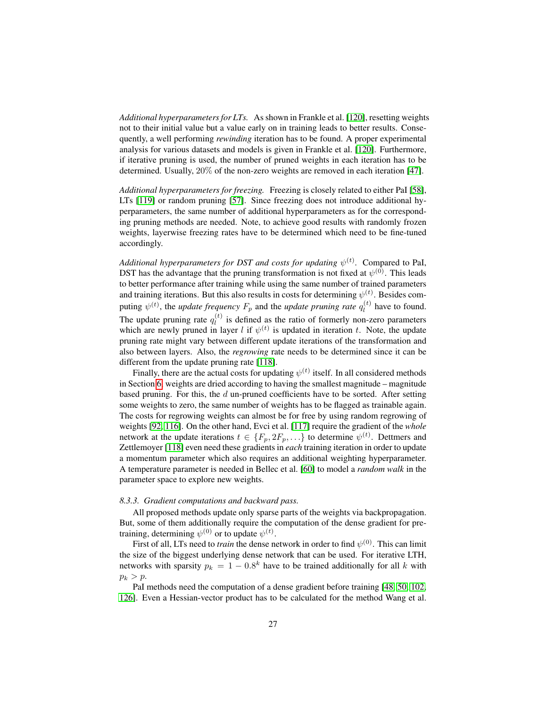*Additional hyperparameters for LTs.* As shown in Frankle et al. [\[120\]](#page-38-0), resetting weights not to their initial value but a value early on in training leads to better results. Consequently, a well performing *rewinding* iteration has to be found. A proper experimental analysis for various datasets and models is given in Frankle et al. [\[120\]](#page-38-0). Furthermore, if iterative pruning is used, the number of pruned weights in each iteration has to be determined. Usually, 20% of the non-zero weights are removed in each iteration [\[47\]](#page-32-2).

*Additional hyperparameters for freezing.* Freezing is closely related to either PaI [\[58\]](#page-33-4), LTs [\[119\]](#page-37-8) or random pruning [\[57\]](#page-33-10). Since freezing does not introduce additional hyperparameters, the same number of additional hyperparameters as for the corresponding pruning methods are needed. Note, to achieve good results with randomly frozen weights, layerwise freezing rates have to be determined which need to be fine-tuned accordingly.

*Additional hyperparameters for DST and costs for updating*  $\psi^{(t)}$ . Compared to PaI, DST has the advantage that the pruning transformation is not fixed at  $\psi^{(0)}$ . This leads to better performance after training while using the same number of trained parameters and training iterations. But this also results in costs for determining  $\psi^{(t)}$ . Besides computing  $\psi^{(t)}$ , the *update frequency*  $F_p$  and the *update pruning rate*  $q_l^{(t)}$  have to found. The update pruning rate  $q_l^{(t)}$  is defined as the ratio of formerly non-zero parameters which are newly pruned in layer l if  $\psi^{(t)}$  is updated in iteration t. Note, the update pruning rate might vary between different update iterations of the transformation and also between layers. Also, the *regrowing* rate needs to be determined since it can be different from the update pruning rate [\[118\]](#page-37-7).

Finally, there are the actual costs for updating  $\psi^{(t)}$  itself. In all considered methods in Section [6,](#page-19-0) weights are dried according to having the smallest magnitude – magnitude based pruning. For this, the  $d$  un-pruned coefficients have to be sorted. After setting some weights to zero, the same number of weights has to be flagged as trainable again. The costs for regrowing weights can almost be for free by using random regrowing of weights [\[92,](#page-35-7) [116\]](#page-37-5). On the other hand, Evci et al. [\[117\]](#page-37-6) require the gradient of the *whole* network at the update iterations  $t \in \{F_p, 2F_p, \ldots\}$  to determine  $\psi^{(t)}$ . Dettmers and Zettlemoyer [\[118\]](#page-37-7) even need these gradients in *each* training iteration in order to update a momentum parameter which also requires an additional weighting hyperparameter. A temperature parameter is needed in Bellec et al. [\[60\]](#page-33-5) to model a *random walk* in the parameter space to explore new weights.

#### <span id="page-26-0"></span>*8.3.3. Gradient computations and backward pass.*

All proposed methods update only sparse parts of the weights via backpropagation. But, some of them additionally require the computation of the dense gradient for pretraining, determining  $\psi^{(0)}$  or to update  $\psi^{(t)}$ .

First of all, LTs need to *train* the dense network in order to find  $\psi^{(0)}$ . This can limit the size of the biggest underlying dense network that can be used. For iterative LTH, networks with sparsity  $p_k = 1 - 0.8^k$  have to be trained additionally for all k with  $p_k > p$ .

PaI methods need the computation of a dense gradient before training [\[48,](#page-32-7) [50,](#page-32-3) [102,](#page-36-7) [126\]](#page-38-11). Even a Hessian-vector product has to be calculated for the method Wang et al.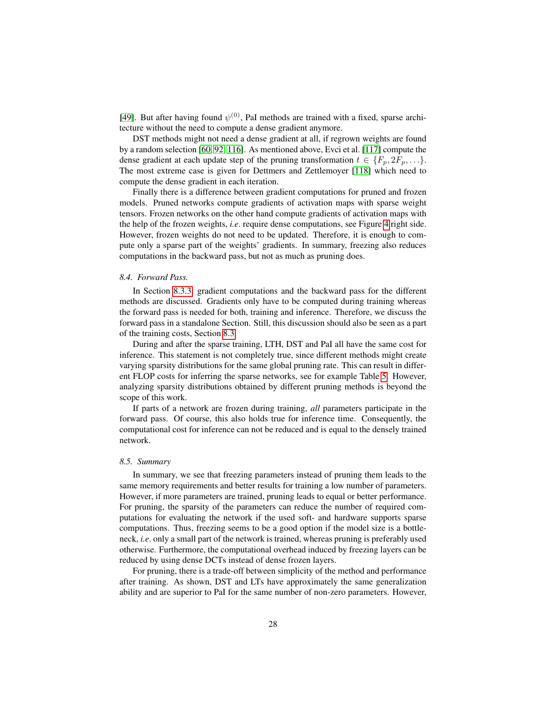[\[49\]](#page-32-6). But after having found  $\psi^{(0)}$ , PaI methods are trained with a fixed, sparse architecture without the need to compute a dense gradient anymore.

DST methods might not need a dense gradient at all, if regrown weights are found by a random selection [\[60,](#page-33-5) [92,](#page-35-7) [116\]](#page-37-5). As mentioned above, Evci et al. [\[117\]](#page-37-6) compute the dense gradient at each update step of the pruning transformation  $t \in \{F_p, 2F_p, \ldots\}$ . The most extreme case is given for Dettmers and Zettlemoyer [\[118\]](#page-37-7) which need to compute the dense gradient in each iteration.

Finally there is a difference between gradient computations for pruned and frozen models. Pruned networks compute gradients of activation maps with sparse weight tensors. Frozen networks on the other hand compute gradients of activation maps with the help of the frozen weights, *i.e*. require dense computations, see Figure [4](#page-6-1) right side. However, frozen weights do not need to be updated. Therefore, it is enough to compute only a sparse part of the weights' gradients. In summary, freezing also reduces computations in the backward pass, but not as much as pruning does.

#### *8.4. Forward Pass.*

In Section [8.3.3,](#page-26-0) gradient computations and the backward pass for the different methods are discussed. Gradients only have to be computed during training whereas the forward pass is needed for both, training and inference. Therefore, we discuss the forward pass in a standalone Section. Still, this discussion should also be seen as a part of the training costs, Section [8.3.](#page-25-1)

During and after the sparse training, LTH, DST and PaI all have the same cost for inference. This statement is not completely true, since different methods might create varying sparsity distributions for the same global pruning rate. This can result in different FLOP costs for inferring the sparse networks, see for example Table [5.](#page-23-1) However, analyzing sparsity distributions obtained by different pruning methods is beyond the scope of this work.

If parts of a network are frozen during training, *all* parameters participate in the forward pass. Of course, this also holds true for inference time. Consequently, the computational cost for inference can not be reduced and is equal to the densely trained network.

## *8.5. Summary*

In summary, we see that freezing parameters instead of pruning them leads to the same memory requirements and better results for training a low number of parameters. However, if more parameters are trained, pruning leads to equal or better performance. For pruning, the sparsity of the parameters can reduce the number of required computations for evaluating the network if the used soft- and hardware supports sparse computations. Thus, freezing seems to be a good option if the model size is a bottleneck, *i.e*. only a small part of the network is trained, whereas pruning is preferably used otherwise. Furthermore, the computational overhead induced by freezing layers can be reduced by using dense DCTs instead of dense frozen layers.

For pruning, there is a trade-off between simplicity of the method and performance after training. As shown, DST and LTs have approximately the same generalization ability and are superior to PaI for the same number of non-zero parameters. However,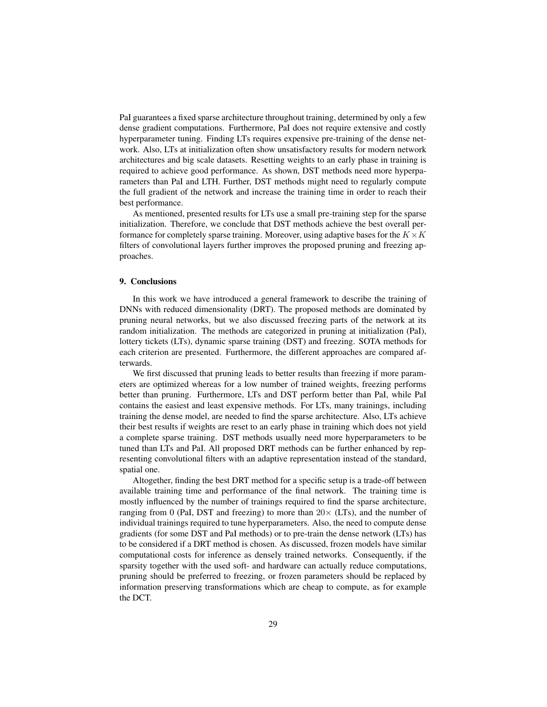PaI guarantees a fixed sparse architecture throughout training, determined by only a few dense gradient computations. Furthermore, PaI does not require extensive and costly hyperparameter tuning. Finding LTs requires expensive pre-training of the dense network. Also, LTs at initialization often show unsatisfactory results for modern network architectures and big scale datasets. Resetting weights to an early phase in training is required to achieve good performance. As shown, DST methods need more hyperparameters than PaI and LTH. Further, DST methods might need to regularly compute the full gradient of the network and increase the training time in order to reach their best performance.

As mentioned, presented results for LTs use a small pre-training step for the sparse initialization. Therefore, we conclude that DST methods achieve the best overall performance for completely sparse training. Moreover, using adaptive bases for the  $K \times K$ filters of convolutional layers further improves the proposed pruning and freezing approaches.

## <span id="page-28-0"></span>9. Conclusions

In this work we have introduced a general framework to describe the training of DNNs with reduced dimensionality (DRT). The proposed methods are dominated by pruning neural networks, but we also discussed freezing parts of the network at its random initialization. The methods are categorized in pruning at initialization (PaI), lottery tickets (LTs), dynamic sparse training (DST) and freezing. SOTA methods for each criterion are presented. Furthermore, the different approaches are compared afterwards.

We first discussed that pruning leads to better results than freezing if more parameters are optimized whereas for a low number of trained weights, freezing performs better than pruning. Furthermore, LTs and DST perform better than PaI, while PaI contains the easiest and least expensive methods. For LTs, many trainings, including training the dense model, are needed to find the sparse architecture. Also, LTs achieve their best results if weights are reset to an early phase in training which does not yield a complete sparse training. DST methods usually need more hyperparameters to be tuned than LTs and PaI. All proposed DRT methods can be further enhanced by representing convolutional filters with an adaptive representation instead of the standard, spatial one.

Altogether, finding the best DRT method for a specific setup is a trade-off between available training time and performance of the final network. The training time is mostly influenced by the number of trainings required to find the sparse architecture, ranging from 0 (PaI, DST and freezing) to more than  $20 \times$  (LTs), and the number of individual trainings required to tune hyperparameters. Also, the need to compute dense gradients (for some DST and PaI methods) or to pre-train the dense network (LTs) has to be considered if a DRT method is chosen. As discussed, frozen models have similar computational costs for inference as densely trained networks. Consequently, if the sparsity together with the used soft- and hardware can actually reduce computations, pruning should be preferred to freezing, or frozen parameters should be replaced by information preserving transformations which are cheap to compute, as for example the DCT.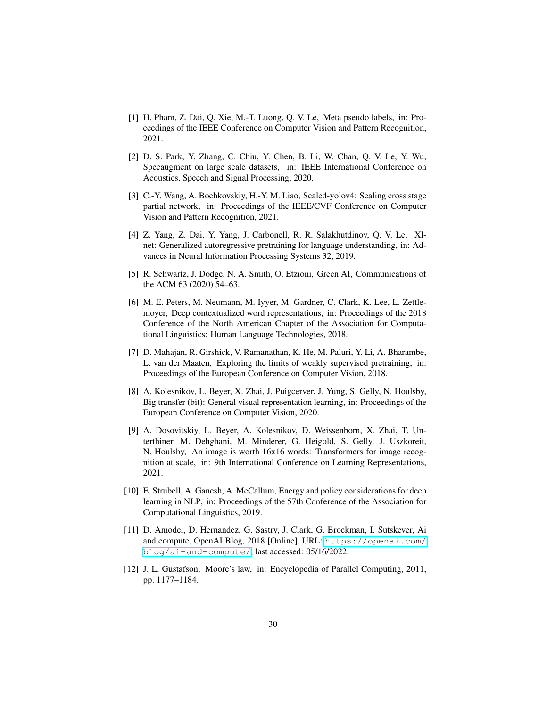- <span id="page-29-0"></span>[1] H. Pham, Z. Dai, Q. Xie, M.-T. Luong, Q. V. Le, Meta pseudo labels, in: Proceedings of the IEEE Conference on Computer Vision and Pattern Recognition, 2021.
- <span id="page-29-1"></span>[2] D. S. Park, Y. Zhang, C. Chiu, Y. Chen, B. Li, W. Chan, Q. V. Le, Y. Wu, Specaugment on large scale datasets, in: IEEE International Conference on Acoustics, Speech and Signal Processing, 2020.
- <span id="page-29-2"></span>[3] C.-Y. Wang, A. Bochkovskiy, H.-Y. M. Liao, Scaled-yolov4: Scaling cross stage partial network, in: Proceedings of the IEEE/CVF Conference on Computer Vision and Pattern Recognition, 2021.
- <span id="page-29-4"></span>[4] Z. Yang, Z. Dai, Y. Yang, J. Carbonell, R. R. Salakhutdinov, Q. V. Le, Xlnet: Generalized autoregressive pretraining for language understanding, in: Advances in Neural Information Processing Systems 32, 2019.
- <span id="page-29-5"></span>[5] R. Schwartz, J. Dodge, N. A. Smith, O. Etzioni, Green AI, Communications of the ACM 63 (2020) 54–63.
- <span id="page-29-6"></span>[6] M. E. Peters, M. Neumann, M. Iyyer, M. Gardner, C. Clark, K. Lee, L. Zettlemoyer, Deep contextualized word representations, in: Proceedings of the 2018 Conference of the North American Chapter of the Association for Computational Linguistics: Human Language Technologies, 2018.
- [7] D. Mahajan, R. Girshick, V. Ramanathan, K. He, M. Paluri, Y. Li, A. Bharambe, L. van der Maaten, Exploring the limits of weakly supervised pretraining, in: Proceedings of the European Conference on Computer Vision, 2018.
- [8] A. Kolesnikov, L. Beyer, X. Zhai, J. Puigcerver, J. Yung, S. Gelly, N. Houlsby, Big transfer (bit): General visual representation learning, in: Proceedings of the European Conference on Computer Vision, 2020.
- <span id="page-29-7"></span>[9] A. Dosovitskiy, L. Beyer, A. Kolesnikov, D. Weissenborn, X. Zhai, T. Unterthiner, M. Dehghani, M. Minderer, G. Heigold, S. Gelly, J. Uszkoreit, N. Houlsby, An image is worth 16x16 words: Transformers for image recognition at scale, in: 9th International Conference on Learning Representations, 2021.
- <span id="page-29-8"></span>[10] E. Strubell, A. Ganesh, A. McCallum, Energy and policy considerations for deep learning in NLP, in: Proceedings of the 57th Conference of the Association for Computational Linguistics, 2019.
- <span id="page-29-3"></span>[11] D. Amodei, D. Hernandez, G. Sastry, J. Clark, G. Brockman, I. Sutskever, Ai and compute, OpenAI Blog, 2018 [Online]. URL: [https://openai.com/](https://openai.com/blog/ai-and-compute/) [blog/ai-and-compute/](https://openai.com/blog/ai-and-compute/), last accessed: 05/16/2022.
- <span id="page-29-9"></span>[12] J. L. Gustafson, Moore's law, in: Encyclopedia of Parallel Computing, 2011, pp. 1177–1184.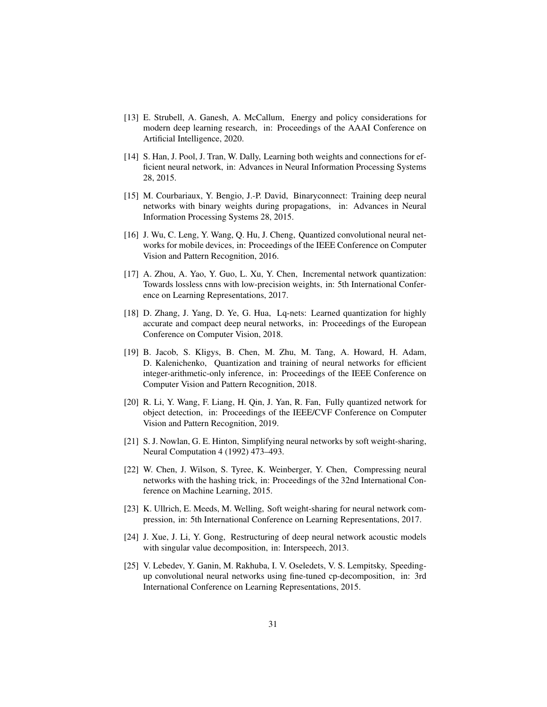- <span id="page-30-0"></span>[13] E. Strubell, A. Ganesh, A. McCallum, Energy and policy considerations for modern deep learning research, in: Proceedings of the AAAI Conference on Artificial Intelligence, 2020.
- <span id="page-30-1"></span>[14] S. Han, J. Pool, J. Tran, W. Dally, Learning both weights and connections for efficient neural network, in: Advances in Neural Information Processing Systems 28, 2015.
- [15] M. Courbariaux, Y. Bengio, J.-P. David, Binaryconnect: Training deep neural networks with binary weights during propagations, in: Advances in Neural Information Processing Systems 28, 2015.
- [16] J. Wu, C. Leng, Y. Wang, Q. Hu, J. Cheng, Quantized convolutional neural networks for mobile devices, in: Proceedings of the IEEE Conference on Computer Vision and Pattern Recognition, 2016.
- [17] A. Zhou, A. Yao, Y. Guo, L. Xu, Y. Chen, Incremental network quantization: Towards lossless cnns with low-precision weights, in: 5th International Conference on Learning Representations, 2017.
- [18] D. Zhang, J. Yang, D. Ye, G. Hua, Lq-nets: Learned quantization for highly accurate and compact deep neural networks, in: Proceedings of the European Conference on Computer Vision, 2018.
- [19] B. Jacob, S. Kligys, B. Chen, M. Zhu, M. Tang, A. Howard, H. Adam, D. Kalenichenko, Quantization and training of neural networks for efficient integer-arithmetic-only inference, in: Proceedings of the IEEE Conference on Computer Vision and Pattern Recognition, 2018.
- <span id="page-30-2"></span>[20] R. Li, Y. Wang, F. Liang, H. Qin, J. Yan, R. Fan, Fully quantized network for object detection, in: Proceedings of the IEEE/CVF Conference on Computer Vision and Pattern Recognition, 2019.
- <span id="page-30-3"></span>[21] S. J. Nowlan, G. E. Hinton, Simplifying neural networks by soft weight-sharing, Neural Computation 4 (1992) 473–493.
- [22] W. Chen, J. Wilson, S. Tyree, K. Weinberger, Y. Chen, Compressing neural networks with the hashing trick, in: Proceedings of the 32nd International Conference on Machine Learning, 2015.
- <span id="page-30-4"></span>[23] K. Ullrich, E. Meeds, M. Welling, Soft weight-sharing for neural network compression, in: 5th International Conference on Learning Representations, 2017.
- <span id="page-30-5"></span>[24] J. Xue, J. Li, Y. Gong, Restructuring of deep neural network acoustic models with singular value decomposition, in: Interspeech, 2013.
- [25] V. Lebedev, Y. Ganin, M. Rakhuba, I. V. Oseledets, V. S. Lempitsky, Speedingup convolutional neural networks using fine-tuned cp-decomposition, in: 3rd International Conference on Learning Representations, 2015.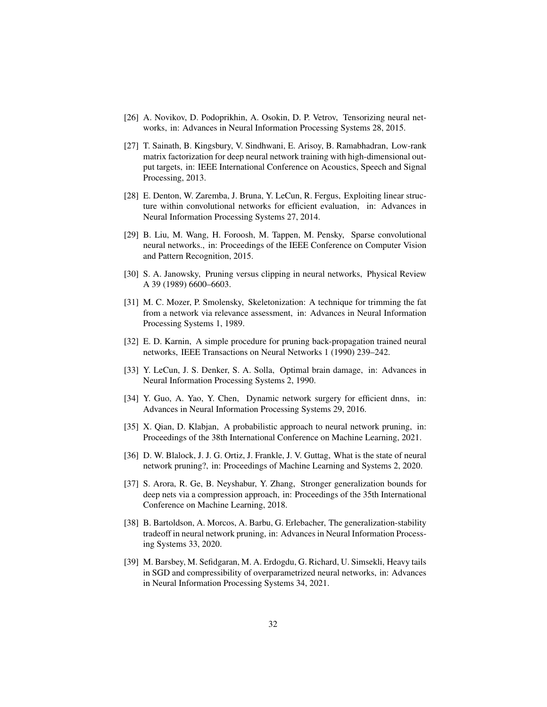- <span id="page-31-0"></span>[26] A. Novikov, D. Podoprikhin, A. Osokin, D. P. Vetrov, Tensorizing neural networks, in: Advances in Neural Information Processing Systems 28, 2015.
- <span id="page-31-1"></span>[27] T. Sainath, B. Kingsbury, V. Sindhwani, E. Arisoy, B. Ramabhadran, Low-rank matrix factorization for deep neural network training with high-dimensional output targets, in: IEEE International Conference on Acoustics, Speech and Signal Processing, 2013.
- [28] E. Denton, W. Zaremba, J. Bruna, Y. LeCun, R. Fergus, Exploiting linear structure within convolutional networks for efficient evaluation, in: Advances in Neural Information Processing Systems 27, 2014.
- <span id="page-31-2"></span>[29] B. Liu, M. Wang, H. Foroosh, M. Tappen, M. Pensky, Sparse convolutional neural networks., in: Proceedings of the IEEE Conference on Computer Vision and Pattern Recognition, 2015.
- <span id="page-31-3"></span>[30] S. A. Janowsky, Pruning versus clipping in neural networks, Physical Review A 39 (1989) 6600–6603.
- [31] M. C. Mozer, P. Smolensky, Skeletonization: A technique for trimming the fat from a network via relevance assessment, in: Advances in Neural Information Processing Systems 1, 1989.
- [32] E. D. Karnin, A simple procedure for pruning back-propagation trained neural networks, IEEE Transactions on Neural Networks 1 (1990) 239–242.
- <span id="page-31-6"></span>[33] Y. LeCun, J. S. Denker, S. A. Solla, Optimal brain damage, in: Advances in Neural Information Processing Systems 2, 1990.
- <span id="page-31-10"></span>[34] Y. Guo, A. Yao, Y. Chen, Dynamic network surgery for efficient dnns, in: Advances in Neural Information Processing Systems 29, 2016.
- <span id="page-31-4"></span>[35] X. Qian, D. Klabjan, A probabilistic approach to neural network pruning, in: Proceedings of the 38th International Conference on Machine Learning, 2021.
- <span id="page-31-5"></span>[36] D. W. Blalock, J. J. G. Ortiz, J. Frankle, J. V. Guttag, What is the state of neural network pruning?, in: Proceedings of Machine Learning and Systems 2, 2020.
- <span id="page-31-7"></span>[37] S. Arora, R. Ge, B. Neyshabur, Y. Zhang, Stronger generalization bounds for deep nets via a compression approach, in: Proceedings of the 35th International Conference on Machine Learning, 2018.
- <span id="page-31-9"></span>[38] B. Bartoldson, A. Morcos, A. Barbu, G. Erlebacher, The generalization-stability tradeoff in neural network pruning, in: Advances in Neural Information Processing Systems 33, 2020.
- <span id="page-31-8"></span>[39] M. Barsbey, M. Sefidgaran, M. A. Erdogdu, G. Richard, U. Simsekli, Heavy tails in SGD and compressibility of overparametrized neural networks, in: Advances in Neural Information Processing Systems 34, 2021.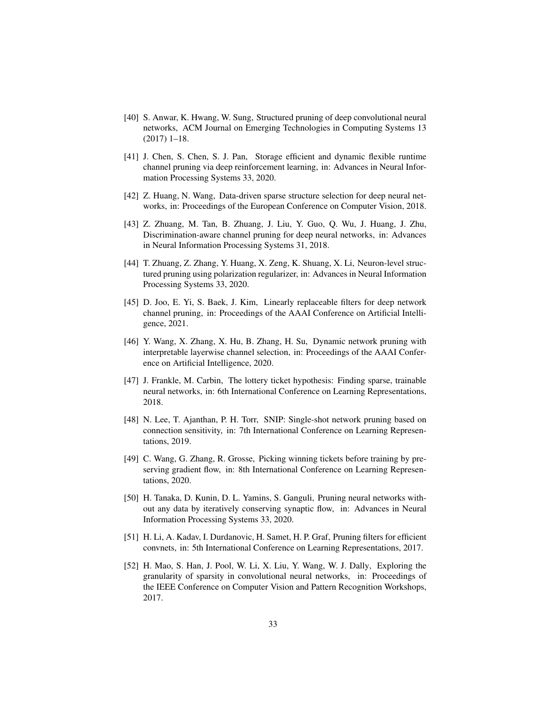- <span id="page-32-0"></span>[40] S. Anwar, K. Hwang, W. Sung, Structured pruning of deep convolutional neural networks, ACM Journal on Emerging Technologies in Computing Systems 13 (2017) 1–18.
- [41] J. Chen, S. Chen, S. J. Pan, Storage efficient and dynamic flexible runtime channel pruning via deep reinforcement learning, in: Advances in Neural Information Processing Systems 33, 2020.
- [42] Z. Huang, N. Wang, Data-driven sparse structure selection for deep neural networks, in: Proceedings of the European Conference on Computer Vision, 2018.
- [43] Z. Zhuang, M. Tan, B. Zhuang, J. Liu, Y. Guo, Q. Wu, J. Huang, J. Zhu, Discrimination-aware channel pruning for deep neural networks, in: Advances in Neural Information Processing Systems 31, 2018.
- [44] T. Zhuang, Z. Zhang, Y. Huang, X. Zeng, K. Shuang, X. Li, Neuron-level structured pruning using polarization regularizer, in: Advances in Neural Information Processing Systems 33, 2020.
- [45] D. Joo, E. Yi, S. Baek, J. Kim, Linearly replaceable filters for deep network channel pruning, in: Proceedings of the AAAI Conference on Artificial Intelligence, 2021.
- <span id="page-32-1"></span>[46] Y. Wang, X. Zhang, X. Hu, B. Zhang, H. Su, Dynamic network pruning with interpretable layerwise channel selection, in: Proceedings of the AAAI Conference on Artificial Intelligence, 2020.
- <span id="page-32-2"></span>[47] J. Frankle, M. Carbin, The lottery ticket hypothesis: Finding sparse, trainable neural networks, in: 6th International Conference on Learning Representations, 2018.
- <span id="page-32-7"></span>[48] N. Lee, T. Ajanthan, P. H. Torr, SNIP: Single-shot network pruning based on connection sensitivity, in: 7th International Conference on Learning Representations, 2019.
- <span id="page-32-6"></span>[49] C. Wang, G. Zhang, R. Grosse, Picking winning tickets before training by preserving gradient flow, in: 8th International Conference on Learning Representations, 2020.
- <span id="page-32-3"></span>[50] H. Tanaka, D. Kunin, D. L. Yamins, S. Ganguli, Pruning neural networks without any data by iteratively conserving synaptic flow, in: Advances in Neural Information Processing Systems 33, 2020.
- <span id="page-32-4"></span>[51] H. Li, A. Kadav, I. Durdanovic, H. Samet, H. P. Graf, Pruning filters for efficient convnets, in: 5th International Conference on Learning Representations, 2017.
- <span id="page-32-5"></span>[52] H. Mao, S. Han, J. Pool, W. Li, X. Liu, Y. Wang, W. J. Dally, Exploring the granularity of sparsity in convolutional neural networks, in: Proceedings of the IEEE Conference on Computer Vision and Pattern Recognition Workshops, 2017.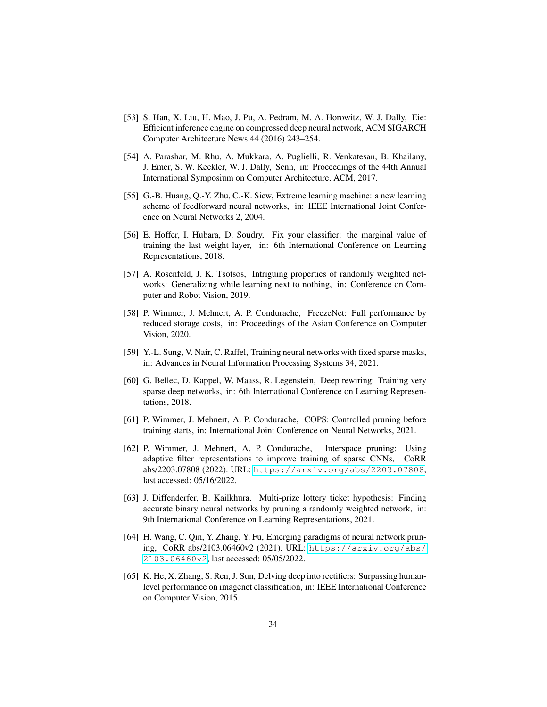- <span id="page-33-0"></span>[53] S. Han, X. Liu, H. Mao, J. Pu, A. Pedram, M. A. Horowitz, W. J. Dally, Eie: Efficient inference engine on compressed deep neural network, ACM SIGARCH Computer Architecture News 44 (2016) 243–254.
- <span id="page-33-1"></span>[54] A. Parashar, M. Rhu, A. Mukkara, A. Puglielli, R. Venkatesan, B. Khailany, J. Emer, S. W. Keckler, W. J. Dally, Scnn, in: Proceedings of the 44th Annual International Symposium on Computer Architecture, ACM, 2017.
- <span id="page-33-2"></span>[55] G.-B. Huang, Q.-Y. Zhu, C.-K. Siew, Extreme learning machine: a new learning scheme of feedforward neural networks, in: IEEE International Joint Conference on Neural Networks 2, 2004.
- <span id="page-33-11"></span>[56] E. Hoffer, I. Hubara, D. Soudry, Fix your classifier: the marginal value of training the last weight layer, in: 6th International Conference on Learning Representations, 2018.
- <span id="page-33-10"></span>[57] A. Rosenfeld, J. K. Tsotsos, Intriguing properties of randomly weighted networks: Generalizing while learning next to nothing, in: Conference on Computer and Robot Vision, 2019.
- <span id="page-33-4"></span>[58] P. Wimmer, J. Mehnert, A. P. Condurache, FreezeNet: Full performance by reduced storage costs, in: Proceedings of the Asian Conference on Computer Vision, 2020.
- <span id="page-33-3"></span>[59] Y.-L. Sung, V. Nair, C. Raffel, Training neural networks with fixed sparse masks, in: Advances in Neural Information Processing Systems 34, 2021.
- <span id="page-33-5"></span>[60] G. Bellec, D. Kappel, W. Maass, R. Legenstein, Deep rewiring: Training very sparse deep networks, in: 6th International Conference on Learning Representations, 2018.
- <span id="page-33-12"></span>[61] P. Wimmer, J. Mehnert, A. P. Condurache, COPS: Controlled pruning before training starts, in: International Joint Conference on Neural Networks, 2021.
- <span id="page-33-6"></span>[62] P. Wimmer, J. Mehnert, A. P. Condurache, Interspace pruning: Using adaptive filter representations to improve training of sparse CNNs, CoRR abs/2203.07808 (2022). URL: <https://arxiv.org/abs/2203.07808>, last accessed: 05/16/2022.
- <span id="page-33-7"></span>[63] J. Diffenderfer, B. Kailkhura, Multi-prize lottery ticket hypothesis: Finding accurate binary neural networks by pruning a randomly weighted network, in: 9th International Conference on Learning Representations, 2021.
- <span id="page-33-8"></span>[64] H. Wang, C. Qin, Y. Zhang, Y. Fu, Emerging paradigms of neural network pruning, CoRR abs/2103.06460v2 (2021). URL: [https://arxiv.org/abs/](https://arxiv.org/abs/2103.06460v2) [2103.06460v2](https://arxiv.org/abs/2103.06460v2), last accessed: 05/05/2022.
- <span id="page-33-9"></span>[65] K. He, X. Zhang, S. Ren, J. Sun, Delving deep into rectifiers: Surpassing humanlevel performance on imagenet classification, in: IEEE International Conference on Computer Vision, 2015.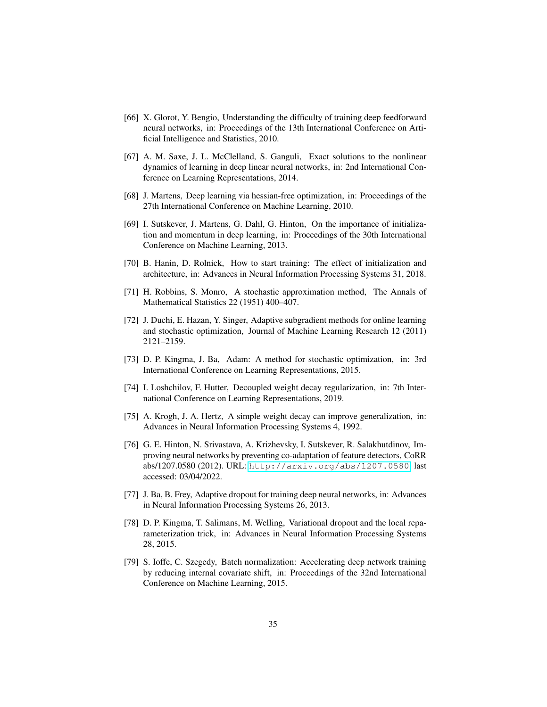- <span id="page-34-0"></span>[66] X. Glorot, Y. Bengio, Understanding the difficulty of training deep feedforward neural networks, in: Proceedings of the 13th International Conference on Artificial Intelligence and Statistics, 2010.
- <span id="page-34-1"></span>[67] A. M. Saxe, J. L. McClelland, S. Ganguli, Exact solutions to the nonlinear dynamics of learning in deep linear neural networks, in: 2nd International Conference on Learning Representations, 2014.
- <span id="page-34-2"></span>[68] J. Martens, Deep learning via hessian-free optimization, in: Proceedings of the 27th International Conference on Machine Learning, 2010.
- <span id="page-34-3"></span>[69] I. Sutskever, J. Martens, G. Dahl, G. Hinton, On the importance of initialization and momentum in deep learning, in: Proceedings of the 30th International Conference on Machine Learning, 2013.
- <span id="page-34-4"></span>[70] B. Hanin, D. Rolnick, How to start training: The effect of initialization and architecture, in: Advances in Neural Information Processing Systems 31, 2018.
- <span id="page-34-5"></span>[71] H. Robbins, S. Monro, A stochastic approximation method, The Annals of Mathematical Statistics 22 (1951) 400–407.
- <span id="page-34-6"></span>[72] J. Duchi, E. Hazan, Y. Singer, Adaptive subgradient methods for online learning and stochastic optimization, Journal of Machine Learning Research 12 (2011) 2121–2159.
- <span id="page-34-7"></span>[73] D. P. Kingma, J. Ba, Adam: A method for stochastic optimization, in: 3rd International Conference on Learning Representations, 2015.
- <span id="page-34-8"></span>[74] I. Loshchilov, F. Hutter, Decoupled weight decay regularization, in: 7th International Conference on Learning Representations, 2019.
- <span id="page-34-9"></span>[75] A. Krogh, J. A. Hertz, A simple weight decay can improve generalization, in: Advances in Neural Information Processing Systems 4, 1992.
- <span id="page-34-10"></span>[76] G. E. Hinton, N. Srivastava, A. Krizhevsky, I. Sutskever, R. Salakhutdinov, Improving neural networks by preventing co-adaptation of feature detectors, CoRR abs/1207.0580 (2012). URL: <http://arxiv.org/abs/1207.0580>, last accessed: 03/04/2022.
- [77] J. Ba, B. Frey, Adaptive dropout for training deep neural networks, in: Advances in Neural Information Processing Systems 26, 2013.
- <span id="page-34-11"></span>[78] D. P. Kingma, T. Salimans, M. Welling, Variational dropout and the local reparameterization trick, in: Advances in Neural Information Processing Systems 28, 2015.
- <span id="page-34-12"></span>[79] S. Ioffe, C. Szegedy, Batch normalization: Accelerating deep network training by reducing internal covariate shift, in: Proceedings of the 32nd International Conference on Machine Learning, 2015.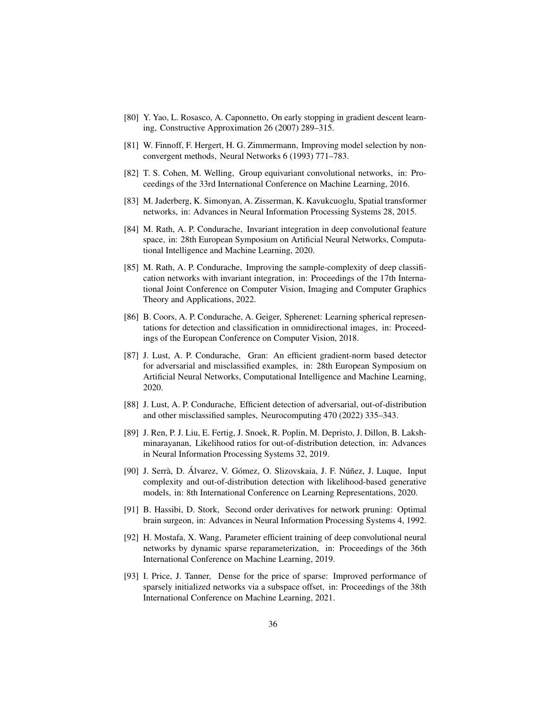- <span id="page-35-0"></span>[80] Y. Yao, L. Rosasco, A. Caponnetto, On early stopping in gradient descent learning, Constructive Approximation 26 (2007) 289–315.
- <span id="page-35-1"></span>[81] W. Finnoff, F. Hergert, H. G. Zimmermann, Improving model selection by nonconvergent methods, Neural Networks 6 (1993) 771–783.
- <span id="page-35-2"></span>[82] T. S. Cohen, M. Welling, Group equivariant convolutional networks, in: Proceedings of the 33rd International Conference on Machine Learning, 2016.
- [83] M. Jaderberg, K. Simonyan, A. Zisserman, K. Kavukcuoglu, Spatial transformer networks, in: Advances in Neural Information Processing Systems 28, 2015.
- [84] M. Rath, A. P. Condurache, Invariant integration in deep convolutional feature space, in: 28th European Symposium on Artificial Neural Networks, Computational Intelligence and Machine Learning, 2020.
- [85] M. Rath, A. P. Condurache, Improving the sample-complexity of deep classification networks with invariant integration, in: Proceedings of the 17th International Joint Conference on Computer Vision, Imaging and Computer Graphics Theory and Applications, 2022.
- <span id="page-35-3"></span>[86] B. Coors, A. P. Condurache, A. Geiger, Spherenet: Learning spherical representations for detection and classification in omnidirectional images, in: Proceedings of the European Conference on Computer Vision, 2018.
- <span id="page-35-4"></span>[87] J. Lust, A. P. Condurache, Gran: An efficient gradient-norm based detector for adversarial and misclassified examples, in: 28th European Symposium on Artificial Neural Networks, Computational Intelligence and Machine Learning, 2020.
- [88] J. Lust, A. P. Condurache, Efficient detection of adversarial, out-of-distribution and other misclassified samples, Neurocomputing 470 (2022) 335–343.
- [89] J. Ren, P. J. Liu, E. Fertig, J. Snoek, R. Poplin, M. Depristo, J. Dillon, B. Lakshminarayanan, Likelihood ratios for out-of-distribution detection, in: Advances in Neural Information Processing Systems 32, 2019.
- <span id="page-35-5"></span>[90] J. Serrà, D. Álvarez, V. Gómez, O. Slizovskaia, J. F. Núñez, J. Luque, Input complexity and out-of-distribution detection with likelihood-based generative models, in: 8th International Conference on Learning Representations, 2020.
- <span id="page-35-6"></span>[91] B. Hassibi, D. Stork, Second order derivatives for network pruning: Optimal brain surgeon, in: Advances in Neural Information Processing Systems 4, 1992.
- <span id="page-35-7"></span>[92] H. Mostafa, X. Wang, Parameter efficient training of deep convolutional neural networks by dynamic sparse reparameterization, in: Proceedings of the 36th International Conference on Machine Learning, 2019.
- <span id="page-35-8"></span>[93] I. Price, J. Tanner, Dense for the price of sparse: Improved performance of sparsely initialized networks via a subspace offset, in: Proceedings of the 38th International Conference on Machine Learning, 2021.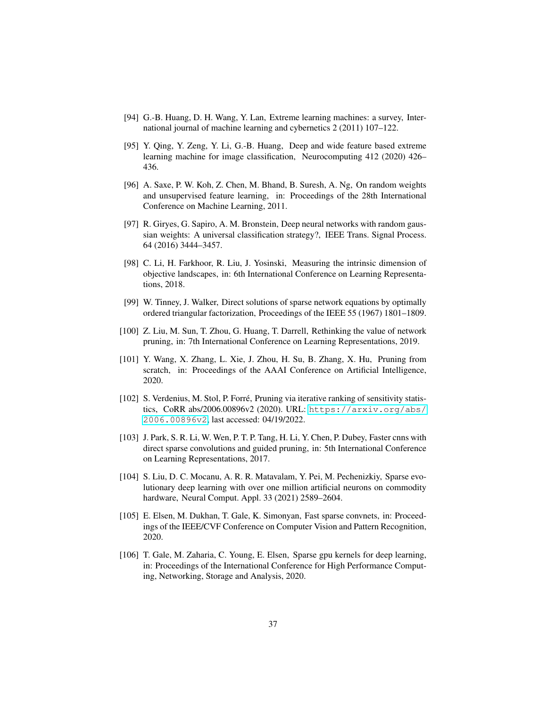- <span id="page-36-0"></span>[94] G.-B. Huang, D. H. Wang, Y. Lan, Extreme learning machines: a survey, International journal of machine learning and cybernetics 2 (2011) 107–122.
- <span id="page-36-1"></span>[95] Y. Qing, Y. Zeng, Y. Li, G.-B. Huang, Deep and wide feature based extreme learning machine for image classification, Neurocomputing 412 (2020) 426– 436.
- <span id="page-36-2"></span>[96] A. Saxe, P. W. Koh, Z. Chen, M. Bhand, B. Suresh, A. Ng, On random weights and unsupervised feature learning, in: Proceedings of the 28th International Conference on Machine Learning, 2011.
- <span id="page-36-3"></span>[97] R. Giryes, G. Sapiro, A. M. Bronstein, Deep neural networks with random gaussian weights: A universal classification strategy?, IEEE Trans. Signal Process. 64 (2016) 3444–3457.
- <span id="page-36-4"></span>[98] C. Li, H. Farkhoor, R. Liu, J. Yosinski, Measuring the intrinsic dimension of objective landscapes, in: 6th International Conference on Learning Representations, 2018.
- <span id="page-36-5"></span>[99] W. Tinney, J. Walker, Direct solutions of sparse network equations by optimally ordered triangular factorization, Proceedings of the IEEE 55 (1967) 1801–1809.
- <span id="page-36-6"></span>[100] Z. Liu, M. Sun, T. Zhou, G. Huang, T. Darrell, Rethinking the value of network pruning, in: 7th International Conference on Learning Representations, 2019.
- [101] Y. Wang, X. Zhang, L. Xie, J. Zhou, H. Su, B. Zhang, X. Hu, Pruning from scratch, in: Proceedings of the AAAI Conference on Artificial Intelligence, 2020.
- <span id="page-36-7"></span>[102] S. Verdenius, M. Stol, P. Forré, Pruning via iterative ranking of sensitivity statistics, CoRR abs/2006.00896v2 (2020). URL: [https://arxiv.org/abs/](https://arxiv.org/abs/2006.00896v2) [2006.00896v2](https://arxiv.org/abs/2006.00896v2), last accessed: 04/19/2022.
- <span id="page-36-8"></span>[103] J. Park, S. R. Li, W. Wen, P. T. P. Tang, H. Li, Y. Chen, P. Dubey, Faster cnns with direct sparse convolutions and guided pruning, in: 5th International Conference on Learning Representations, 2017.
- <span id="page-36-9"></span>[104] S. Liu, D. C. Mocanu, A. R. R. Matavalam, Y. Pei, M. Pechenizkiy, Sparse evolutionary deep learning with over one million artificial neurons on commodity hardware, Neural Comput. Appl. 33 (2021) 2589–2604.
- <span id="page-36-10"></span>[105] E. Elsen, M. Dukhan, T. Gale, K. Simonyan, Fast sparse convnets, in: Proceedings of the IEEE/CVF Conference on Computer Vision and Pattern Recognition, 2020.
- [106] T. Gale, M. Zaharia, C. Young, E. Elsen, Sparse gpu kernels for deep learning, in: Proceedings of the International Conference for High Performance Computing, Networking, Storage and Analysis, 2020.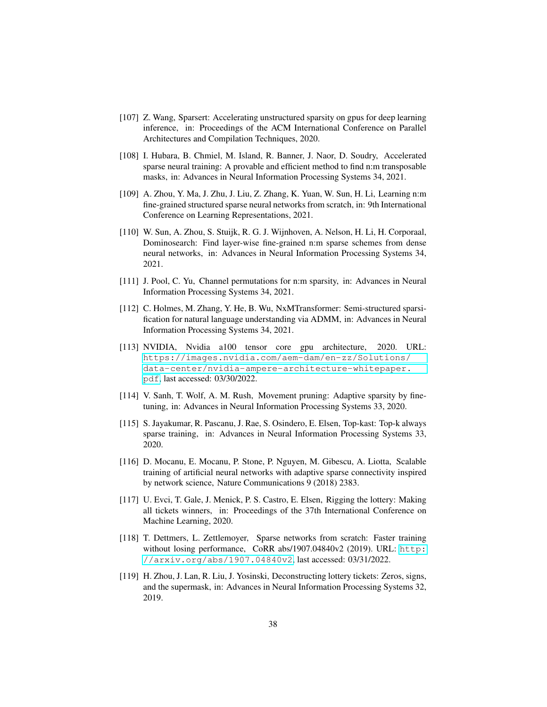- <span id="page-37-0"></span>[107] Z. Wang, Sparsert: Accelerating unstructured sparsity on gpus for deep learning inference, in: Proceedings of the ACM International Conference on Parallel Architectures and Compilation Techniques, 2020.
- <span id="page-37-1"></span>[108] I. Hubara, B. Chmiel, M. Island, R. Banner, J. Naor, D. Soudry, Accelerated sparse neural training: A provable and efficient method to find n:m transposable masks, in: Advances in Neural Information Processing Systems 34, 2021.
- [109] A. Zhou, Y. Ma, J. Zhu, J. Liu, Z. Zhang, K. Yuan, W. Sun, H. Li, Learning n:m fine-grained structured sparse neural networks from scratch, in: 9th International Conference on Learning Representations, 2021.
- [110] W. Sun, A. Zhou, S. Stuijk, R. G. J. Wijnhoven, A. Nelson, H. Li, H. Corporaal, Dominosearch: Find layer-wise fine-grained n:m sparse schemes from dense neural networks, in: Advances in Neural Information Processing Systems 34, 2021.
- [111] J. Pool, C. Yu, Channel permutations for n:m sparsity, in: Advances in Neural Information Processing Systems 34, 2021.
- [112] C. Holmes, M. Zhang, Y. He, B. Wu, NxMTransformer: Semi-structured sparsification for natural language understanding via ADMM, in: Advances in Neural Information Processing Systems 34, 2021.
- <span id="page-37-2"></span>[113] NVIDIA, Nvidia a100 tensor core gpu architecture, 2020. URL: [https://images.nvidia.com/aem-dam/en-zz/Solutions/](https://images.nvidia.com/aem-dam/en-zz/Solutions/data-center/nvidia-ampere-architecture-whitepaper.pdf) [data-center/nvidia-ampere-architecture-whitepaper.](https://images.nvidia.com/aem-dam/en-zz/Solutions/data-center/nvidia-ampere-architecture-whitepaper.pdf) [pdf](https://images.nvidia.com/aem-dam/en-zz/Solutions/data-center/nvidia-ampere-architecture-whitepaper.pdf), last accessed: 03/30/2022.
- <span id="page-37-3"></span>[114] V. Sanh, T. Wolf, A. M. Rush, Movement pruning: Adaptive sparsity by finetuning, in: Advances in Neural Information Processing Systems 33, 2020.
- <span id="page-37-4"></span>[115] S. Jayakumar, R. Pascanu, J. Rae, S. Osindero, E. Elsen, Top-kast: Top-k always sparse training, in: Advances in Neural Information Processing Systems 33, 2020.
- <span id="page-37-5"></span>[116] D. Mocanu, E. Mocanu, P. Stone, P. Nguyen, M. Gibescu, A. Liotta, Scalable training of artificial neural networks with adaptive sparse connectivity inspired by network science, Nature Communications 9 (2018) 2383.
- <span id="page-37-6"></span>[117] U. Evci, T. Gale, J. Menick, P. S. Castro, E. Elsen, Rigging the lottery: Making all tickets winners, in: Proceedings of the 37th International Conference on Machine Learning, 2020.
- <span id="page-37-7"></span>[118] T. Dettmers, L. Zettlemoyer, Sparse networks from scratch: Faster training without losing performance, CoRR abs/1907.04840v2 (2019). URL: [http:](http://arxiv.org/abs/1907.04840v2) [//arxiv.org/abs/1907.04840v2](http://arxiv.org/abs/1907.04840v2), last accessed: 03/31/2022.
- <span id="page-37-8"></span>[119] H. Zhou, J. Lan, R. Liu, J. Yosinski, Deconstructing lottery tickets: Zeros, signs, and the supermask, in: Advances in Neural Information Processing Systems 32, 2019.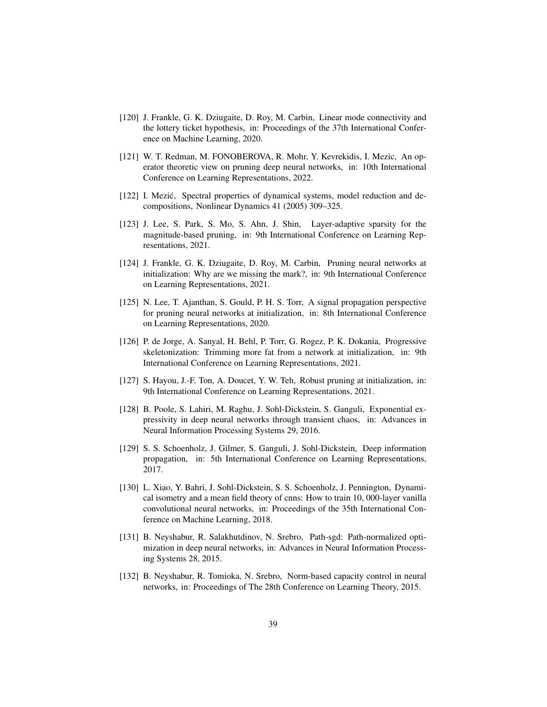- <span id="page-38-0"></span>[120] J. Frankle, G. K. Dziugaite, D. Roy, M. Carbin, Linear mode connectivity and the lottery ticket hypothesis, in: Proceedings of the 37th International Conference on Machine Learning, 2020.
- <span id="page-38-1"></span>[121] W. T. Redman, M. FONOBEROVA, R. Mohr, Y. Kevrekidis, I. Mezic, An operator theoretic view on pruning deep neural networks, in: 10th International Conference on Learning Representations, 2022.
- <span id="page-38-2"></span>[122] I. Mezić, Spectral properties of dynamical systems, model reduction and decompositions, Nonlinear Dynamics 41 (2005) 309–325.
- <span id="page-38-3"></span>[123] J. Lee, S. Park, S. Mo, S. Ahn, J. Shin, Layer-adaptive sparsity for the magnitude-based pruning, in: 9th International Conference on Learning Representations, 2021.
- <span id="page-38-4"></span>[124] J. Frankle, G. K. Dziugaite, D. Roy, M. Carbin, Pruning neural networks at initialization: Why are we missing the mark?, in: 9th International Conference on Learning Representations, 2021.
- <span id="page-38-5"></span>[125] N. Lee, T. Ajanthan, S. Gould, P. H. S. Torr, A signal propagation perspective for pruning neural networks at initialization, in: 8th International Conference on Learning Representations, 2020.
- <span id="page-38-11"></span>[126] P. de Jorge, A. Sanyal, H. Behl, P. Torr, G. Rogez, P. K. Dokania, Progressive skeletonization: Trimming more fat from a network at initialization, in: 9th International Conference on Learning Representations, 2021.
- <span id="page-38-6"></span>[127] S. Hayou, J.-F. Ton, A. Doucet, Y. W. Teh, Robust pruning at initialization, in: 9th International Conference on Learning Representations, 2021.
- <span id="page-38-7"></span>[128] B. Poole, S. Lahiri, M. Raghu, J. Sohl-Dickstein, S. Ganguli, Exponential expressivity in deep neural networks through transient chaos, in: Advances in Neural Information Processing Systems 29, 2016.
- [129] S. S. Schoenholz, J. Gilmer, S. Ganguli, J. Sohl-Dickstein, Deep information propagation, in: 5th International Conference on Learning Representations, 2017.
- <span id="page-38-8"></span>[130] L. Xiao, Y. Bahri, J. Sohl-Dickstein, S. S. Schoenholz, J. Pennington, Dynamical isometry and a mean field theory of cnns: How to train 10, 000-layer vanilla convolutional neural networks, in: Proceedings of the 35th International Conference on Machine Learning, 2018.
- <span id="page-38-9"></span>[131] B. Neyshabur, R. Salakhutdinov, N. Srebro, Path-sgd: Path-normalized optimization in deep neural networks, in: Advances in Neural Information Processing Systems 28, 2015.
- <span id="page-38-10"></span>[132] B. Neyshabur, R. Tomioka, N. Srebro, Norm-based capacity control in neural networks, in: Proceedings of The 28th Conference on Learning Theory, 2015.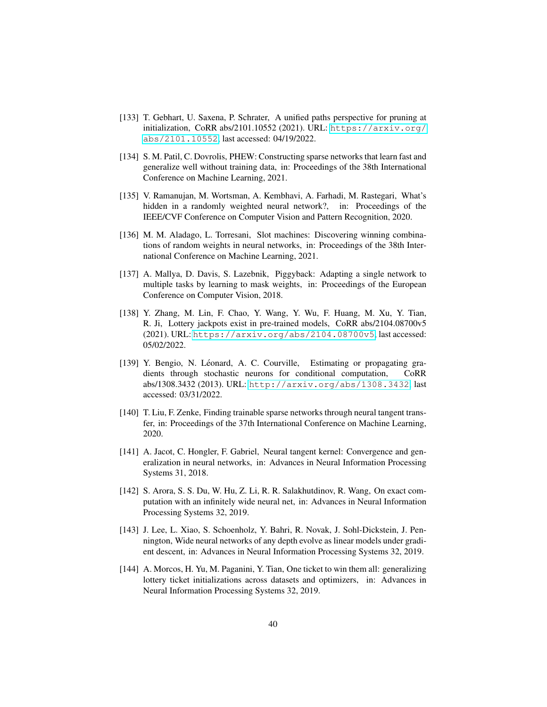- <span id="page-39-0"></span>[133] T. Gebhart, U. Saxena, P. Schrater, A unified paths perspective for pruning at initialization, CoRR abs/2101.10552 (2021). URL: [https://arxiv.org/](https://arxiv.org/abs/2101.10552) [abs/2101.10552](https://arxiv.org/abs/2101.10552), last accessed: 04/19/2022.
- <span id="page-39-1"></span>[134] S. M. Patil, C. Dovrolis, PHEW: Constructing sparse networks that learn fast and generalize well without training data, in: Proceedings of the 38th International Conference on Machine Learning, 2021.
- <span id="page-39-2"></span>[135] V. Ramanujan, M. Wortsman, A. Kembhavi, A. Farhadi, M. Rastegari, What's hidden in a randomly weighted neural network?, in: Proceedings of the IEEE/CVF Conference on Computer Vision and Pattern Recognition, 2020.
- <span id="page-39-3"></span>[136] M. M. Aladago, L. Torresani, Slot machines: Discovering winning combinations of random weights in neural networks, in: Proceedings of the 38th International Conference on Machine Learning, 2021.
- <span id="page-39-4"></span>[137] A. Mallya, D. Davis, S. Lazebnik, Piggyback: Adapting a single network to multiple tasks by learning to mask weights, in: Proceedings of the European Conference on Computer Vision, 2018.
- <span id="page-39-6"></span>[138] Y. Zhang, M. Lin, F. Chao, Y. Wang, Y. Wu, F. Huang, M. Xu, Y. Tian, R. Ji, Lottery jackpots exist in pre-trained models, CoRR abs/2104.08700v5 (2021). URL: <https://arxiv.org/abs/2104.08700v5>, last accessed: 05/02/2022.
- <span id="page-39-7"></span>[139] Y. Bengio, N. Léonard, A. C. Courville, Estimating or propagating gradients through stochastic neurons for conditional computation, CoRR abs/1308.3432 (2013). URL: <http://arxiv.org/abs/1308.3432>, last accessed: 03/31/2022.
- <span id="page-39-8"></span>[140] T. Liu, F. Zenke, Finding trainable sparse networks through neural tangent transfer, in: Proceedings of the 37th International Conference on Machine Learning, 2020.
- <span id="page-39-9"></span>[141] A. Jacot, C. Hongler, F. Gabriel, Neural tangent kernel: Convergence and generalization in neural networks, in: Advances in Neural Information Processing Systems 31, 2018.
- [142] S. Arora, S. S. Du, W. Hu, Z. Li, R. R. Salakhutdinov, R. Wang, On exact computation with an infinitely wide neural net, in: Advances in Neural Information Processing Systems 32, 2019.
- <span id="page-39-10"></span>[143] J. Lee, L. Xiao, S. Schoenholz, Y. Bahri, R. Novak, J. Sohl-Dickstein, J. Pennington, Wide neural networks of any depth evolve as linear models under gradient descent, in: Advances in Neural Information Processing Systems 32, 2019.
- <span id="page-39-5"></span>[144] A. Morcos, H. Yu, M. Paganini, Y. Tian, One ticket to win them all: generalizing lottery ticket initializations across datasets and optimizers, in: Advances in Neural Information Processing Systems 32, 2019.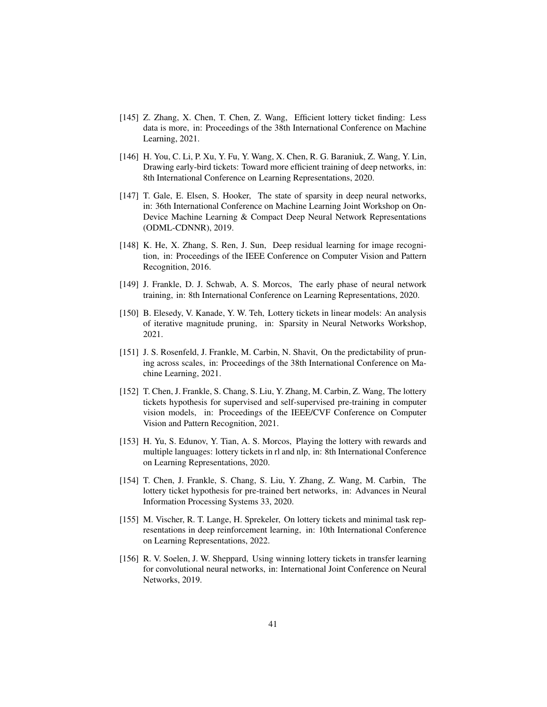- <span id="page-40-0"></span>[145] Z. Zhang, X. Chen, T. Chen, Z. Wang, Efficient lottery ticket finding: Less data is more, in: Proceedings of the 38th International Conference on Machine Learning, 2021.
- <span id="page-40-1"></span>[146] H. You, C. Li, P. Xu, Y. Fu, Y. Wang, X. Chen, R. G. Baraniuk, Z. Wang, Y. Lin, Drawing early-bird tickets: Toward more efficient training of deep networks, in: 8th International Conference on Learning Representations, 2020.
- <span id="page-40-2"></span>[147] T. Gale, E. Elsen, S. Hooker, The state of sparsity in deep neural networks, in: 36th International Conference on Machine Learning Joint Workshop on On-Device Machine Learning & Compact Deep Neural Network Representations (ODML-CDNNR), 2019.
- <span id="page-40-3"></span>[148] K. He, X. Zhang, S. Ren, J. Sun, Deep residual learning for image recognition, in: Proceedings of the IEEE Conference on Computer Vision and Pattern Recognition, 2016.
- <span id="page-40-4"></span>[149] J. Frankle, D. J. Schwab, A. S. Morcos, The early phase of neural network training, in: 8th International Conference on Learning Representations, 2020.
- <span id="page-40-5"></span>[150] B. Elesedy, V. Kanade, Y. W. Teh, Lottery tickets in linear models: An analysis of iterative magnitude pruning, in: Sparsity in Neural Networks Workshop, 2021.
- <span id="page-40-6"></span>[151] J. S. Rosenfeld, J. Frankle, M. Carbin, N. Shavit, On the predictability of pruning across scales, in: Proceedings of the 38th International Conference on Machine Learning, 2021.
- <span id="page-40-7"></span>[152] T. Chen, J. Frankle, S. Chang, S. Liu, Y. Zhang, M. Carbin, Z. Wang, The lottery tickets hypothesis for supervised and self-supervised pre-training in computer vision models, in: Proceedings of the IEEE/CVF Conference on Computer Vision and Pattern Recognition, 2021.
- <span id="page-40-8"></span>[153] H. Yu, S. Edunov, Y. Tian, A. S. Morcos, Playing the lottery with rewards and multiple languages: lottery tickets in rl and nlp, in: 8th International Conference on Learning Representations, 2020.
- <span id="page-40-9"></span>[154] T. Chen, J. Frankle, S. Chang, S. Liu, Y. Zhang, Z. Wang, M. Carbin, The lottery ticket hypothesis for pre-trained bert networks, in: Advances in Neural Information Processing Systems 33, 2020.
- <span id="page-40-10"></span>[155] M. Vischer, R. T. Lange, H. Sprekeler, On lottery tickets and minimal task representations in deep reinforcement learning, in: 10th International Conference on Learning Representations, 2022.
- <span id="page-40-11"></span>[156] R. V. Soelen, J. W. Sheppard, Using winning lottery tickets in transfer learning for convolutional neural networks, in: International Joint Conference on Neural Networks, 2019.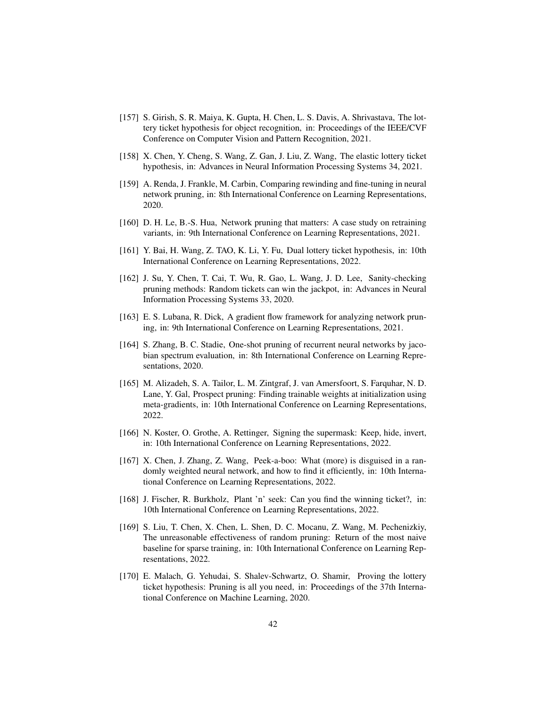- <span id="page-41-0"></span>[157] S. Girish, S. R. Maiya, K. Gupta, H. Chen, L. S. Davis, A. Shrivastava, The lottery ticket hypothesis for object recognition, in: Proceedings of the IEEE/CVF Conference on Computer Vision and Pattern Recognition, 2021.
- <span id="page-41-1"></span>[158] X. Chen, Y. Cheng, S. Wang, Z. Gan, J. Liu, Z. Wang, The elastic lottery ticket hypothesis, in: Advances in Neural Information Processing Systems 34, 2021.
- <span id="page-41-2"></span>[159] A. Renda, J. Frankle, M. Carbin, Comparing rewinding and fine-tuning in neural network pruning, in: 8th International Conference on Learning Representations, 2020.
- <span id="page-41-3"></span>[160] D. H. Le, B.-S. Hua, Network pruning that matters: A case study on retraining variants, in: 9th International Conference on Learning Representations, 2021.
- <span id="page-41-4"></span>[161] Y. Bai, H. Wang, Z. TAO, K. Li, Y. Fu, Dual lottery ticket hypothesis, in: 10th International Conference on Learning Representations, 2022.
- <span id="page-41-7"></span>[162] J. Su, Y. Chen, T. Cai, T. Wu, R. Gao, L. Wang, J. D. Lee, Sanity-checking pruning methods: Random tickets can win the jackpot, in: Advances in Neural Information Processing Systems 33, 2020.
- <span id="page-41-8"></span>[163] E. S. Lubana, R. Dick, A gradient flow framework for analyzing network pruning, in: 9th International Conference on Learning Representations, 2021.
- <span id="page-41-5"></span>[164] S. Zhang, B. C. Stadie, One-shot pruning of recurrent neural networks by jacobian spectrum evaluation, in: 8th International Conference on Learning Representations, 2020.
- <span id="page-41-6"></span>[165] M. Alizadeh, S. A. Tailor, L. M. Zintgraf, J. van Amersfoort, S. Farquhar, N. D. Lane, Y. Gal, Prospect pruning: Finding trainable weights at initialization using meta-gradients, in: 10th International Conference on Learning Representations, 2022.
- <span id="page-41-9"></span>[166] N. Koster, O. Grothe, A. Rettinger, Signing the supermask: Keep, hide, invert, in: 10th International Conference on Learning Representations, 2022.
- <span id="page-41-10"></span>[167] X. Chen, J. Zhang, Z. Wang, Peek-a-boo: What (more) is disguised in a randomly weighted neural network, and how to find it efficiently, in: 10th International Conference on Learning Representations, 2022.
- <span id="page-41-11"></span>[168] J. Fischer, R. Burkholz, Plant 'n' seek: Can you find the winning ticket?, in: 10th International Conference on Learning Representations, 2022.
- <span id="page-41-13"></span>[169] S. Liu, T. Chen, X. Chen, L. Shen, D. C. Mocanu, Z. Wang, M. Pechenizkiy, The unreasonable effectiveness of random pruning: Return of the most naive baseline for sparse training, in: 10th International Conference on Learning Representations, 2022.
- <span id="page-41-12"></span>[170] E. Malach, G. Yehudai, S. Shalev-Schwartz, O. Shamir, Proving the lottery ticket hypothesis: Pruning is all you need, in: Proceedings of the 37th International Conference on Machine Learning, 2020.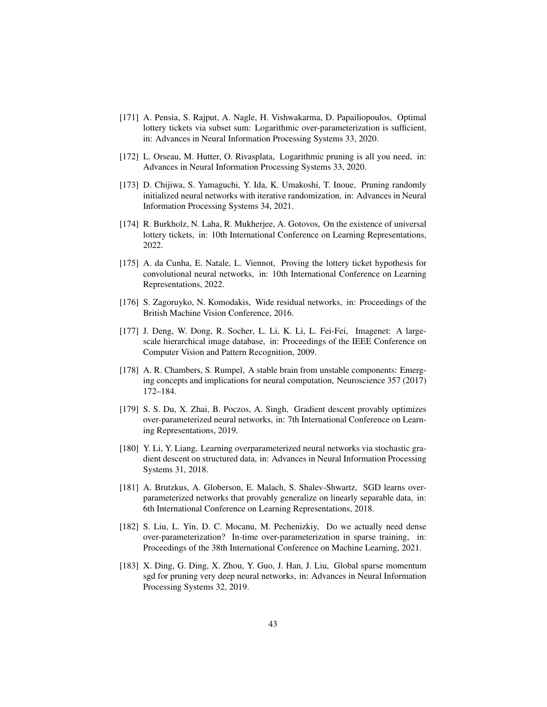- <span id="page-42-0"></span>[171] A. Pensia, S. Rajput, A. Nagle, H. Vishwakarma, D. Papailiopoulos, Optimal lottery tickets via subset sum: Logarithmic over-parameterization is sufficient, in: Advances in Neural Information Processing Systems 33, 2020.
- <span id="page-42-1"></span>[172] L. Orseau, M. Hutter, O. Rivasplata, Logarithmic pruning is all you need, in: Advances in Neural Information Processing Systems 33, 2020.
- <span id="page-42-2"></span>[173] D. Chijiwa, S. Yamaguchi, Y. Ida, K. Umakoshi, T. Inoue, Pruning randomly initialized neural networks with iterative randomization, in: Advances in Neural Information Processing Systems 34, 2021.
- <span id="page-42-3"></span>[174] R. Burkholz, N. Laha, R. Mukherjee, A. Gotovos, On the existence of universal lottery tickets, in: 10th International Conference on Learning Representations, 2022.
- <span id="page-42-4"></span>[175] A. da Cunha, E. Natale, L. Viennot, Proving the lottery ticket hypothesis for convolutional neural networks, in: 10th International Conference on Learning Representations, 2022.
- <span id="page-42-5"></span>[176] S. Zagoruyko, N. Komodakis, Wide residual networks, in: Proceedings of the British Machine Vision Conference, 2016.
- <span id="page-42-6"></span>[177] J. Deng, W. Dong, R. Socher, L. Li, K. Li, L. Fei-Fei, Imagenet: A largescale hierarchical image database, in: Proceedings of the IEEE Conference on Computer Vision and Pattern Recognition, 2009.
- <span id="page-42-7"></span>[178] A. R. Chambers, S. Rumpel, A stable brain from unstable components: Emerging concepts and implications for neural computation, Neuroscience 357 (2017) 172–184.
- <span id="page-42-8"></span>[179] S. S. Du, X. Zhai, B. Poczos, A. Singh, Gradient descent provably optimizes over-parameterized neural networks, in: 7th International Conference on Learning Representations, 2019.
- [180] Y. Li, Y. Liang, Learning overparameterized neural networks via stochastic gradient descent on structured data, in: Advances in Neural Information Processing Systems 31, 2018.
- <span id="page-42-9"></span>[181] A. Brutzkus, A. Globerson, E. Malach, S. Shalev-Shwartz, SGD learns overparameterized networks that provably generalize on linearly separable data, in: 6th International Conference on Learning Representations, 2018.
- <span id="page-42-10"></span>[182] S. Liu, L. Yin, D. C. Mocanu, M. Pechenizkiy, Do we actually need dense over-parameterization? In-time over-parameterization in sparse training, in: Proceedings of the 38th International Conference on Machine Learning, 2021.
- <span id="page-42-11"></span>[183] X. Ding, G. Ding, X. Zhou, Y. Guo, J. Han, J. Liu, Global sparse momentum sgd for pruning very deep neural networks, in: Advances in Neural Information Processing Systems 32, 2019.